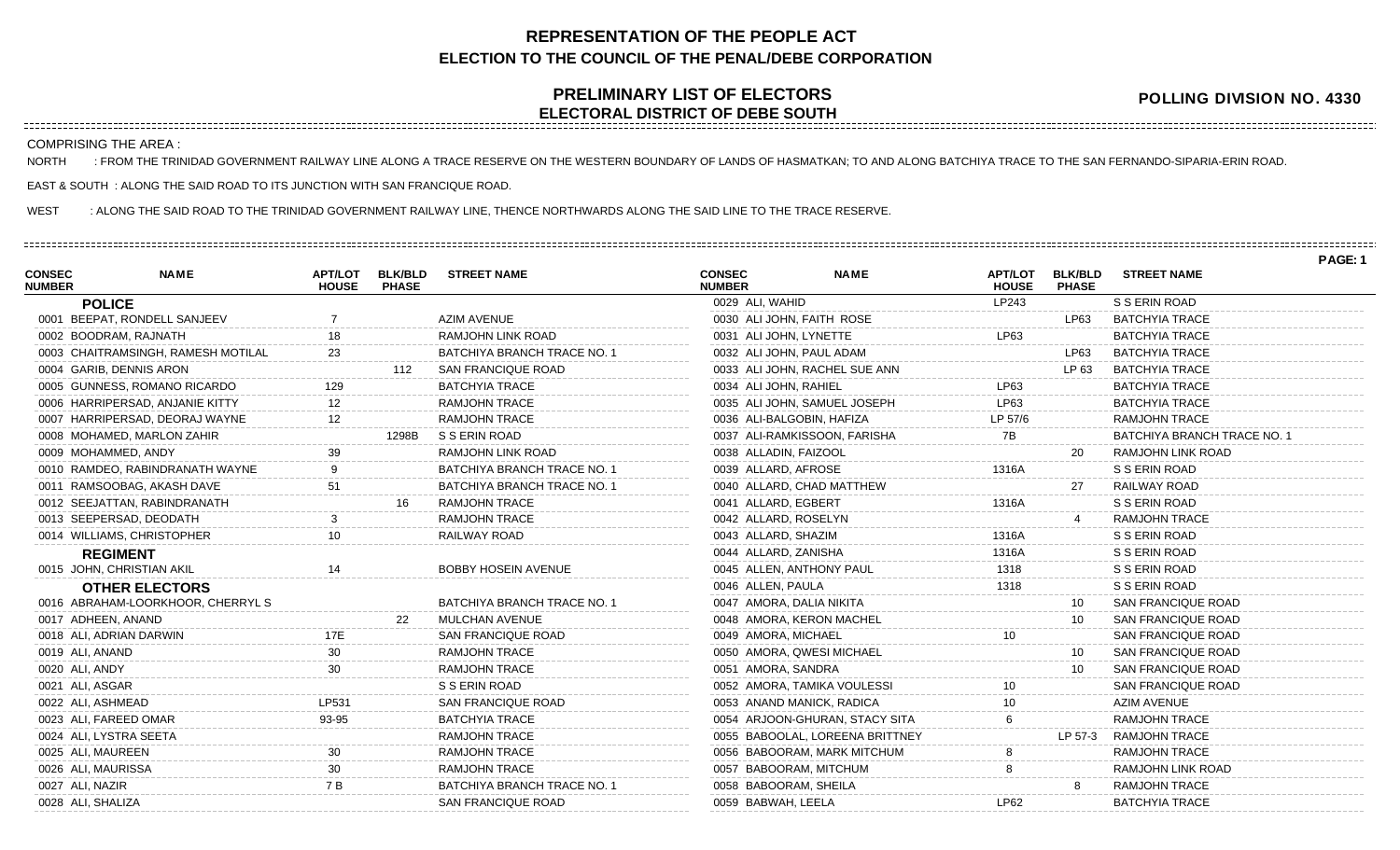## **REPRESENTATION OF THE PEOPLE ACT ELECTION TO THE COUNCIL OF THE PENAL/DEBE CORPORATION**

## **PRELIMINARY LIST OF ELECTORS ELECTORAL DISTRICT OF DEBE SOUTH**

**POLLING DIVISION NO. 4330**

COMPRISING THE AREA :

NORTH : FROM THE TRINIDAD GOVERNMENT RAILWAY LINE ALONG A TRACE RESERVE ON THE WESTERN BOUNDARY OF LANDS OF HASMATKAN; TO AND ALONG BATCHIYA TRACE TO THE SAN FERNANDO-SIPARIA-ERIN ROAD.

EAST & SOUTH : ALONG THE SAID ROAD TO ITS JUNCTION WITH SAN FRANCIQUE ROAD.

WEST : ALONG THE SAID ROAD TO THE TRINIDAD GOVERNMENT RAILWAY LINE, THENCE NORTHWARDS ALONG THE SAID LINE TO THE TRACE RESERVE.

|                                |                                    |                                |                                |                                    |                                |                                 |                                |                                |                             | PAGE: 1 |
|--------------------------------|------------------------------------|--------------------------------|--------------------------------|------------------------------------|--------------------------------|---------------------------------|--------------------------------|--------------------------------|-----------------------------|---------|
| <b>CONSEC</b><br><b>NUMBER</b> | <b>NAME</b>                        | <b>APT/LOT</b><br><b>HOUSE</b> | <b>BLK/BLD</b><br><b>PHASE</b> | <b>STREET NAME</b>                 | <b>CONSEC</b><br><b>NUMBER</b> | <b>NAME</b>                     | <b>APT/LOT</b><br><b>HOUSE</b> | <b>BLK/BLD</b><br><b>PHASE</b> | <b>STREET NAME</b>          |         |
|                                | <b>POLICE</b>                      |                                |                                |                                    | 0029 ALI, WAHID                |                                 | LP243                          |                                | S S ERIN ROAD               |         |
|                                | 0001 BEEPAT, RONDELL SANJEEV       |                                |                                | AZIM AVENUE                        | 0030 ALI JOHN, FAITH ROSE      |                                 |                                | LP63                           | <b>BATCHYIA TRACE</b>       |         |
|                                | 0002 BOODRAM, RAJNATH              | 18                             |                                | RAMJOHN LINK ROAD                  | 0031 ALI JOHN, LYNETTE         |                                 | LP63                           |                                | <b>BATCHYIA TRACE</b>       |         |
|                                | 0003 CHAITRAMSINGH, RAMESH MOTILAL | 23                             |                                | BATCHIYA BRANCH TRACE NO. 1        | 0032 ALI JOHN, PAUL ADAM       |                                 |                                | LP63                           | <b>BATCHYIA TRACE</b>       |         |
|                                | 0004 GARIB, DENNIS ARON            |                                | 112                            | SAN FRANCIQUE ROAD                 |                                | 0033 ALI JOHN, RACHEL SUE ANN   |                                | LP 63                          | <b>BATCHYIA TRACE</b>       |         |
|                                | 0005 GUNNESS, ROMANO RICARDO       | 129                            |                                | <b>BATCHYIA TRACE</b>              | 0034 ALI JOHN, RAHIEL          |                                 | LP63                           |                                | <b>BATCHYIA TRACE</b>       |         |
|                                | 0006 HARRIPERSAD, ANJANIE KITTY    | $12 \overline{ }$              |                                | <b>RAMJOHN TRACE</b>               |                                | 0035 ALI JOHN, SAMUEL JOSEPH    | LP63                           |                                | <b>BATCHYIA TRACE</b>       |         |
|                                | 0007 HARRIPERSAD, DEORAJ WAYNE     | 12                             |                                | <b>RAMJOHN TRACE</b>               | 0036 ALI-BALGOBIN, HAFIZA      |                                 | LP 57/6                        |                                | <b>RAMJOHN TRACE</b>        |         |
|                                | 0008 MOHAMED, MARLON ZAHIR         |                                | 1298B                          | S S ERIN ROAD                      |                                | 0037 ALI-RAMKISSOON, FARISHA    | 7B                             |                                | BATCHIYA BRANCH TRACE NO. 1 |         |
|                                | 0009 MOHAMMED, ANDY                | 39                             |                                | <b>RAMJOHN LINK ROAD</b>           | 0038 ALLADIN, FAIZOOL          |                                 |                                | 20                             | <b>RAMJOHN LINK ROAD</b>    |         |
|                                | 0010 RAMDEO, RABINDRANATH WAYNE    |                                |                                | <b>BATCHIYA BRANCH TRACE NO. 1</b> | 0039 ALLARD, AFROSE            |                                 | 1316A                          |                                | S S ERIN ROAD               |         |
|                                | 0011 RAMSOOBAG, AKASH DAVE         | 51                             |                                | <b>BATCHIYA BRANCH TRACE NO. 1</b> | 0040 ALLARD, CHAD MATTHEW      |                                 |                                | 27                             | RAILWAY ROAD                |         |
|                                | 0012 SEEJATTAN, RABINDRANATH       |                                | 16                             | <b>RAMJOHN TRACE</b>               | 0041 ALLARD, EGBERT            |                                 | 1316A                          |                                | S S ERIN ROAD               |         |
|                                | 0013 SEEPERSAD, DEODATH            |                                |                                | <b>RAMJOHN TRACE</b>               | 0042 ALLARD, ROSELYN           |                                 |                                |                                | <b>RAMJOHN TRACE</b>        |         |
|                                | 0014 WILLIAMS, CHRISTOPHER         | 10 <sup>10</sup>               |                                | RAILWAY ROAD                       | 0043 ALLARD, SHAZIM            |                                 | 1316A                          |                                | S S ERIN ROAD               |         |
|                                | <b>REGIMENT</b>                    |                                |                                |                                    | 0044 ALLARD, ZANISHA           |                                 | 1316A                          |                                | S S ERIN ROAD               |         |
|                                | 0015 JOHN, CHRISTIAN AKIL          | 14                             |                                | <b>BOBBY HOSEIN AVENUE</b>         | 0045 ALLEN, ANTHONY PAUL       |                                 | 1318                           |                                | S S ERIN ROAD               |         |
|                                | <b>OTHER ELECTORS</b>              |                                |                                |                                    | 0046 ALLEN, PAULA              |                                 | 1318                           |                                | S S ERIN ROAD               |         |
|                                | 0016 ABRAHAM-LOORKHOOR, CHERRYL S  |                                |                                | <b>BATCHIYA BRANCH TRACE NO. 1</b> | 0047 AMORA, DALIA NIKITA       |                                 |                                | 10                             | <b>SAN FRANCIQUE ROAD</b>   |         |
|                                | 0017 ADHEEN, ANAND                 |                                |                                | MULCHAN AVENUE                     | 0048 AMORA, KERON MACHEL       |                                 |                                | 10                             | <b>SAN FRANCIQUE ROAD</b>   |         |
|                                | 0018 ALI, ADRIAN DARWIN            | 17E                            |                                | <b>SAN FRANCIQUE ROAD</b>          | 0049 AMORA, MICHAEL            |                                 |                                |                                | SAN FRANCIQUE ROAD          |         |
|                                | 0019 ALI, ANAND                    | 30                             |                                | <b>RAMJOHN TRACE</b>               | 0050 AMORA, QWESI MICHAEL      |                                 |                                | 10                             | SAN FRANCIQUE ROAD          |         |
| 0020 ALI, ANDY                 |                                    | 30                             |                                | <b>RAMJOHN TRACE</b>               | 0051 AMORA, SANDRA             |                                 |                                | 10                             | <b>SAN FRANCIQUE ROAD</b>   |         |
|                                | 0021 ALI, ASGAR                    |                                |                                | S S ERIN ROAD                      | 0052 AMORA, TAMIKA VOULESSI    |                                 | 10.                            |                                | <b>SAN FRANCIQUE ROAD</b>   |         |
|                                | 0022 ALI, ASHMEAD                  | LP531                          |                                | <b>SAN FRANCIQUE ROAD</b>          | 0053 ANAND MANICK, RADICA      |                                 |                                |                                | <b>AZIM AVENUE</b>          |         |
|                                | 0023 ALI, FAREED OMAR              | 93-95                          |                                | <b>BATCHYIA TRACE</b>              |                                | 0054 ARJOON-GHURAN, STACY SITA  |                                |                                | <b>RAMJOHN TRACE</b>        |         |
|                                | 0024 ALI, LYSTRA SEETA             |                                |                                | <b>RAMJOHN TRACE</b>               |                                | 0055 BABOOLAL, LOREENA BRITTNEY |                                | LP 57-3                        | <b>RAMJOHN TRACE</b>        |         |
|                                | 0025 ALI, MAUREEN                  |                                |                                | <b>RAMJOHN TRACE</b>               |                                | 0056 BABOORAM, MARK MITCHUM     |                                |                                | <b>RAMJOHN TRACE</b>        |         |
|                                | 0026 ALI, MAURISSA                 |                                |                                | <b>RAMJOHN TRACE</b>               | 0057 BABOORAM, MITCHUM         |                                 |                                |                                | RAMJOHN LINK ROAD           |         |
|                                | 0027 ALI, NAZIR                    | 7 B                            |                                | BATCHIYA BRANCH TRACE NO. 1        | 0058 BABOORAM, SHEILA          |                                 |                                |                                | RAMJOHN TRACE               |         |
|                                | 0028 ALI, SHALIZA                  |                                |                                | SAN FRANCIQUE ROAD                 | 0059 BABWAH, LEELA             |                                 | LP62                           |                                | <b>BATCHYIA TRACE</b>       |         |
|                                |                                    |                                |                                |                                    |                                |                                 |                                |                                |                             |         |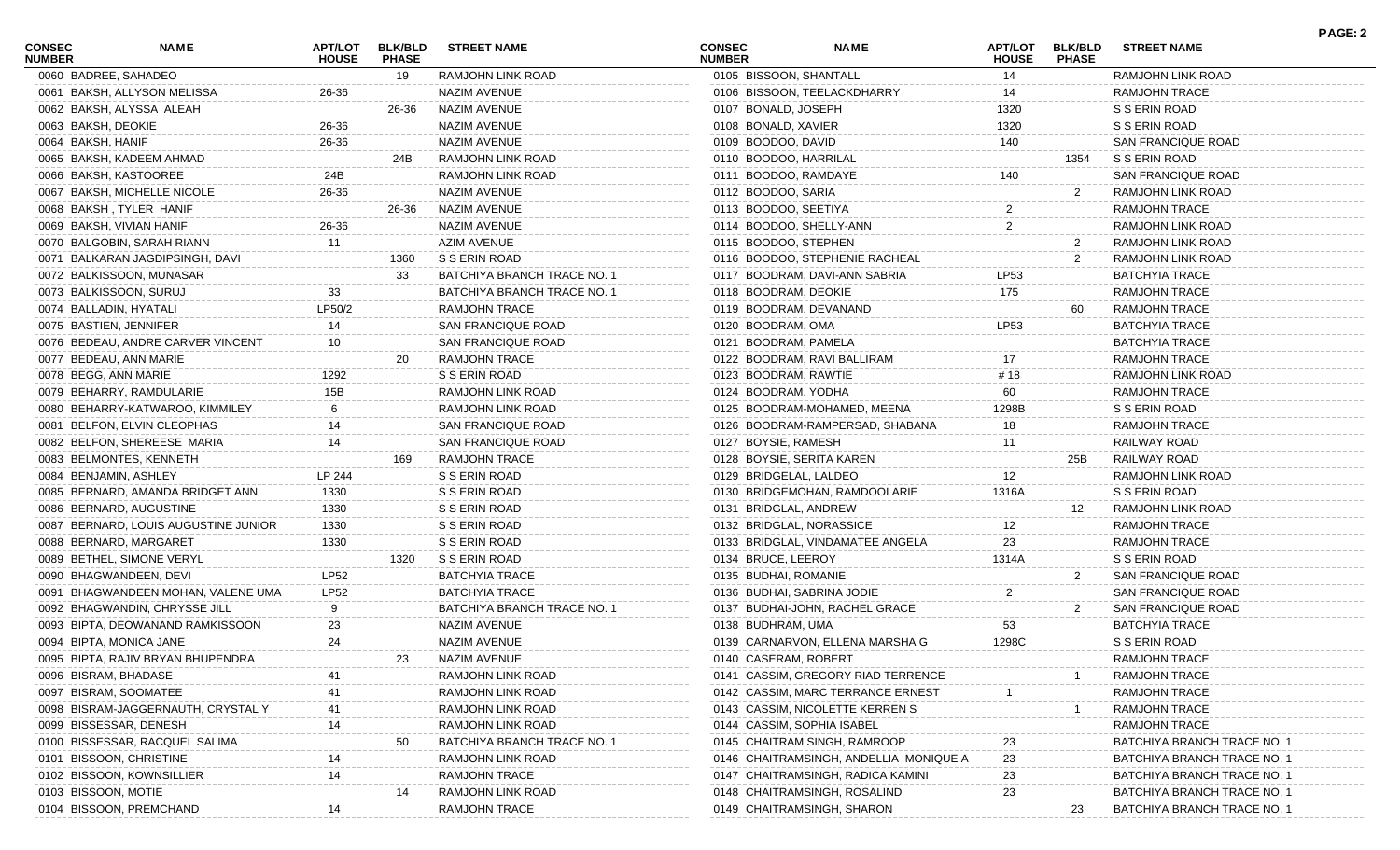| <b>CONSEC</b><br><b>NUMBER</b> | <b>NAME</b>                          | <b>HOUSE</b> | APT/LOT BLK/BLD<br><b>PHASE</b> | <b>STREET NAME</b>          | <b>CONSEC</b><br><b>NUMBER</b> | <b>NAME</b>                            | <b>HOUSE</b>   | APT/LOT BLK/BLD<br><b>PHASE</b> | <b>STREET NAME</b>          |
|--------------------------------|--------------------------------------|--------------|---------------------------------|-----------------------------|--------------------------------|----------------------------------------|----------------|---------------------------------|-----------------------------|
|                                | 0060 BADREE, SAHADEO                 |              | 19                              | RAMJOHN LINK ROAD           | 0105 BISSOON, SHANTALL         |                                        | 14             |                                 | RAMJOHN LINK ROAD           |
|                                | 0061 BAKSH, ALLYSON MELISSA          | 26-36        |                                 | <b>NAZIM AVENUE</b>         |                                | 0106 BISSOON, TEELACKDHARRY            | 14             |                                 | RAMJOHN TRACE               |
|                                | 0062 BAKSH, ALYSSA ALEAH             |              | 26-36                           | NAZIM AVENUE                | 0107 BONALD, JOSEPH            |                                        | 1320           |                                 | S S ERIN ROAD               |
|                                | 0063 BAKSH, DEOKIE                   | 26-36        |                                 | NAZIM AVENUE                | 0108 BONALD, XAVIER            |                                        | 1320           |                                 | S S ERIN ROAD               |
|                                | 0064 BAKSH, HANIF                    | 26-36        |                                 | NAZIM AVENUE                | 0109 BOODOO, DAVID             |                                        | 140            |                                 | SAN FRANCIQUE ROAD          |
|                                | 0065 BAKSH, KADEEM AHMAD             |              | 24B                             | RAMJOHN LINK ROAD           | 0110 BOODOO, HARRILAL          |                                        |                | 1354                            | S S ERIN ROAD               |
|                                | 0066 BAKSH, KASTOOREE                | 24B          |                                 | RAMJOHN LINK ROAD           | 0111 BOODOO, RAMDAYE           |                                        | 140            |                                 | <b>SAN FRANCIQUE ROAD</b>   |
|                                | 0067 BAKSH, MICHELLE NICOLE          | 26-36        |                                 | <b>NAZIM AVENUE</b>         | 0112 BOODOO, SARIA             |                                        |                | $\overline{2}$                  | RAMJOHN LINK ROAD           |
|                                | 0068 BAKSH, TYLER HANIF              |              | 26-36                           | NAZIM AVENUE                | 0113 BOODOO, SEETIYA           |                                        | $\overline{c}$ |                                 | RAMJOHN TRACE               |
|                                | 0069 BAKSH, VIVIAN HANIF             | 26-36        |                                 | <b>NAZIM AVENUE</b>         | 0114 BOODOO, SHELLY-ANN        |                                        | $\overline{2}$ |                                 | RAMJOHN LINK ROAD           |
|                                | 0070 BALGOBIN, SARAH RIANN           | 11           |                                 | <b>AZIM AVENUE</b>          | 0115 BOODOO, STEPHEN           |                                        |                | $\mathbf{2}$                    | RAMJOHN LINK ROAD           |
|                                | 0071 BALKARAN JAGDIPSINGH, DAVI      |              | 1360                            | S S ERIN ROAD               |                                | 0116 BOODOO, STEPHENIE RACHEAL         |                | 2                               | RAMJOHN LINK ROAD           |
|                                | 0072 BALKISSOON, MUNASAR             |              | 33                              | BATCHIYA BRANCH TRACE NO. 1 |                                | 0117 BOODRAM, DAVI-ANN SABRIA          | LP53           |                                 | <b>BATCHYIA TRACE</b>       |
|                                | 0073 BALKISSOON, SURUJ               | 33           |                                 | BATCHIYA BRANCH TRACE NO. 1 | 0118 BOODRAM, DEOKIE           |                                        | 175            |                                 | RAMJOHN TRACE               |
|                                | 0074 BALLADIN, HYATALI               | LP50/2       |                                 | RAMJOHN TRACE               | 0119 BOODRAM, DEVANAND         |                                        |                | 60                              | RAMJOHN TRACE               |
|                                | 0075 BASTIEN, JENNIFER               | 14           |                                 | SAN FRANCIQUE ROAD          | 0120 BOODRAM, OMA              |                                        | <b>LP53</b>    |                                 | <b>BATCHYIA TRACE</b>       |
|                                | 0076 BEDEAU, ANDRE CARVER VINCENT    | 10           |                                 | SAN FRANCIQUE ROAD          | 0121 BOODRAM, PAMELA           |                                        |                |                                 | <b>BATCHYIA TRACE</b>       |
|                                | 0077 BEDEAU, ANN MARIE               |              | 20                              | RAMJOHN TRACE               |                                | 0122 BOODRAM, RAVI BALLIRAM            | 17             |                                 | <b>RAMJOHN TRACE</b>        |
|                                | 0078 BEGG, ANN MARIE                 | 1292         |                                 | S S ERIN ROAD               | 0123 BOODRAM, RAWTIE           |                                        | #18            |                                 | RAMJOHN LINK ROAD           |
|                                | 0079 BEHARRY, RAMDULARIE             | 15B          |                                 | RAMJOHN LINK ROAD           | 0124 BOODRAM, YODHA            |                                        | 60             |                                 | <b>RAMJOHN TRACE</b>        |
|                                | 0080 BEHARRY-KATWAROO, KIMMILEY      |              |                                 | RAMJOHN LINK ROAD           |                                | 0125 BOODRAM-MOHAMED, MEENA            | 1298B          |                                 | S S ERIN ROAD               |
|                                | 0081 BELFON, ELVIN CLEOPHAS          | 14           |                                 | SAN FRANCIQUE ROAD          |                                | 0126 BOODRAM-RAMPERSAD, SHABANA        | 18             |                                 | RAMJOHN TRACE               |
|                                | 0082 BELFON, SHEREESE MARIA          | 14           |                                 | SAN FRANCIQUE ROAD          | 0127 BOYSIE, RAMESH            |                                        | 11             |                                 | RAILWAY ROAD                |
|                                | 0083 BELMONTES, KENNETH              |              | 169                             | <b>RAMJOHN TRACE</b>        |                                | 0128 BOYSIE, SERITA KAREN              |                | 25B                             | RAILWAY ROAD                |
|                                | 0084 BENJAMIN, ASHLEY                | LP 244       |                                 | S S ERIN ROAD               | 0129 BRIDGELAL, LALDEO         |                                        | 12             |                                 | RAMJOHN LINK ROAD           |
|                                | 0085 BERNARD, AMANDA BRIDGET ANN     | 1330         |                                 | S S ERIN ROAD               |                                | 0130 BRIDGEMOHAN, RAMDOOLARIE          | 1316A          |                                 | S S ERIN ROAD               |
|                                | 0086 BERNARD, AUGUSTINE              | 1330         |                                 | S S ERIN ROAD               | 0131 BRIDGLAL, ANDREW          |                                        |                | 12                              | RAMJOHN LINK ROAD           |
|                                | 0087 BERNARD, LOUIS AUGUSTINE JUNIOR | 1330         |                                 | S S ERIN ROAD               |                                | 0132 BRIDGLAL, NORASSICE               | 12             |                                 | RAMJOHN TRACE               |
|                                | 0088 BERNARD, MARGARET               | 1330         |                                 | S S ERIN ROAD               |                                | 0133 BRIDGLAL, VINDAMATEE ANGELA       | 23             |                                 | <b>RAMJOHN TRACE</b>        |
|                                | 0089 BETHEL, SIMONE VERYL            |              | 1320                            | S S ERIN ROAD               | 0134 BRUCE, LEEROY             |                                        | 1314A          |                                 | S S ERIN ROAD               |
|                                | 0090 BHAGWANDEEN, DEVI               | LP52         |                                 | <b>BATCHYIA TRACE</b>       | 0135 BUDHAI, ROMANIE           |                                        |                | $\overline{2}$                  | SAN FRANCIQUE ROAD          |
|                                | 0091 BHAGWANDEEN MOHAN, VALENE UMA   | <b>LP52</b>  |                                 | <b>BATCHYIA TRACE</b>       |                                | 0136 BUDHAI, SABRINA JODIE             | $\overline{2}$ |                                 | SAN FRANCIQUE ROAD          |
|                                | 0092 BHAGWANDIN, CHRYSSE JILL        |              |                                 | BATCHIYA BRANCH TRACE NO. 1 |                                | 0137 BUDHAI-JOHN, RACHEL GRACE         |                | 2                               | SAN FRANCIQUE ROAD          |
|                                | 0093 BIPTA, DEOWANAND RAMKISSOON     | 23           |                                 | NAZIM AVENUE                | 0138 BUDHRAM, UMA              |                                        | 53             |                                 | <b>BATCHYIA TRACE</b>       |
|                                | 0094 BIPTA, MONICA JANE              | 24           |                                 | NAZIM AVENUE                |                                | 0139 CARNARVON, ELLENA MARSHA G        | 1298C          |                                 | S S ERIN ROAD               |
|                                | 0095 BIPTA, RAJIV BRYAN BHUPENDRA    |              |                                 | NAZIM AVENUE                | 0140 CASERAM, ROBERT           |                                        |                |                                 | RAMJOHN TRACE               |
|                                | 0096 BISRAM, BHADASE                 |              |                                 | RAMJOHN LINK ROAD           |                                | 0141 CASSIM, GREGORY RIAD TERRENCE     |                |                                 | RAMJOHN TRACE               |
|                                | 0097 BISRAM, SOOMATEE                |              |                                 | RAMJOHN LINK ROAD           |                                | 0142 CASSIM, MARC TERRANCE ERNEST      |                |                                 | <b>RAMJOHN TRACE</b>        |
|                                | 0098 BISRAM-JAGGERNAUTH, CRYSTAL Y   |              |                                 | RAMJOHN LINK ROAD           |                                | 0143 CASSIM, NICOLETTE KERREN S        |                |                                 | <b>RAMJOHN TRACE</b>        |
|                                | 0099 BISSESSAR, DENESH               |              |                                 | RAMJOHN LINK ROAD           |                                | 0144 CASSIM, SOPHIA ISABEL             |                |                                 | <b>RAMJOHN TRACE</b>        |
|                                | 0100 BISSESSAR, RACQUEL SALIMA       |              |                                 | BATCHIYA BRANCH TRACE NO.   |                                | 0145 CHAITRAM SINGH, RAMROOP           |                |                                 | BATCHIYA BRANCH TRACE NO.   |
|                                | 0101 BISSOON, CHRISTINE              |              |                                 | RAMJOHN LINK ROAD           |                                | 0146 CHAITRAMSINGH, ANDELLIA MONIQUE A | 23             |                                 | BATCHIYA BRANCH TRACE NO.   |
|                                | 0102 BISSOON, KOWNSILLIER            |              |                                 | RAMJOHN TRACE               |                                | 0147 CHAITRAMSINGH, RADICA KAMINI      | 23             |                                 | BATCHIYA BRANCH TRACE NO.   |
|                                | 0103 BISSOON, MOTIE                  |              | 14                              | RAMJOHN LINK ROAD           |                                | 0148 CHAITRAMSINGH, ROSALIND           | 23             |                                 | BATCHIYA BRANCH TRACE NO. 1 |
|                                | 0104 BISSOON, PREMCHAND              |              |                                 | RAMJOHN TRACE               |                                | 0149 CHAITRAMSINGH, SHARON             |                | 23                              | BATCHIYA BRANCH TRACE NO. 1 |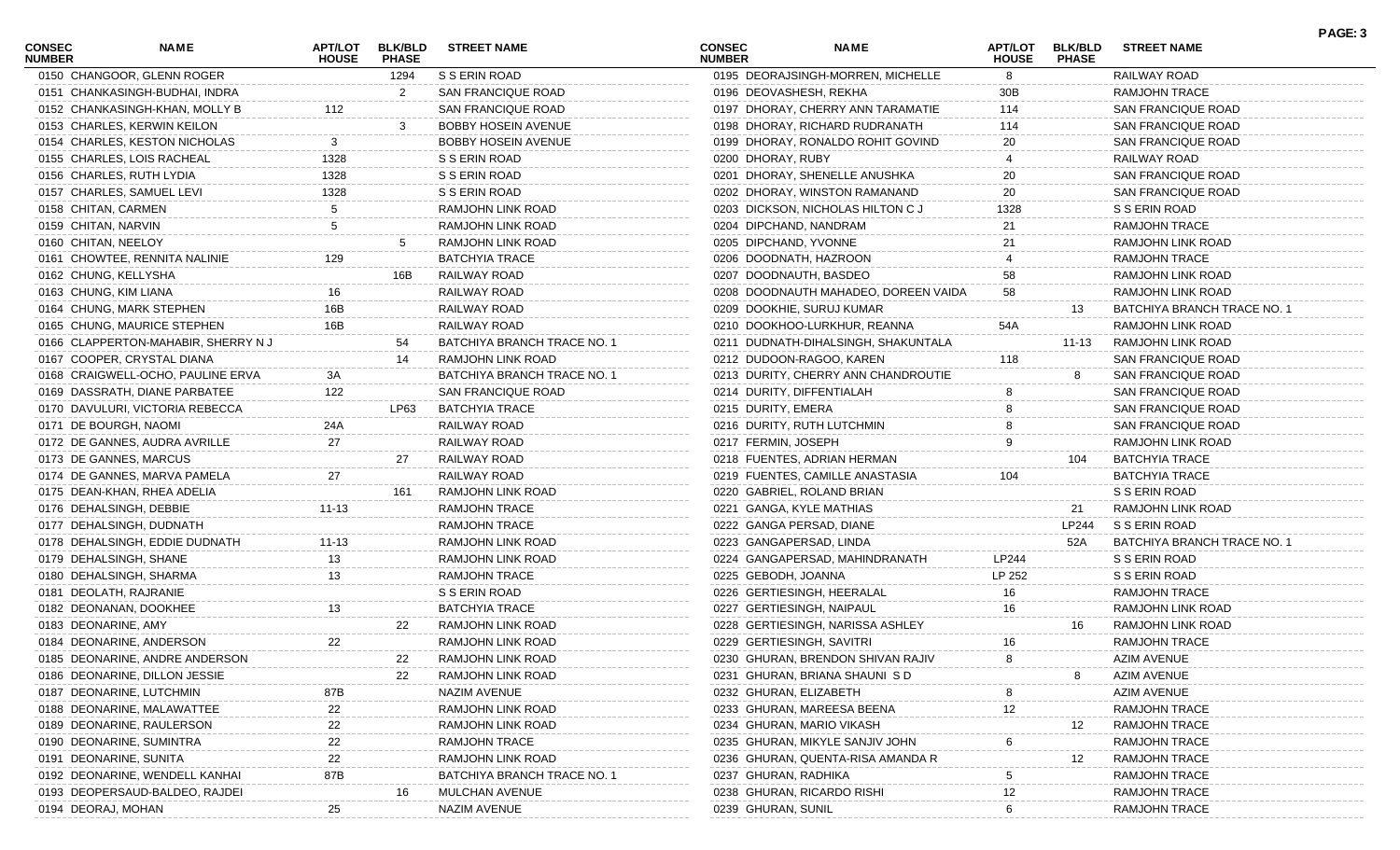| CONSEC<br><b>NUMBER</b> | <b>NAME</b>                        | <b>APT/LOT</b><br><b>HOUSE</b> | <b>BLK/BLD</b><br><b>PHASE</b> | <b>STREET NAME</b>          | CONSEC<br><b>NUMBER</b> | <b>NAME</b>                          | <b>APT/LOT</b><br><b>HOUSE</b> | <b>BLK/BLD</b><br><b>PHASE</b> | <b>STREET NAME</b>          | PAGE: 3 |
|-------------------------|------------------------------------|--------------------------------|--------------------------------|-----------------------------|-------------------------|--------------------------------------|--------------------------------|--------------------------------|-----------------------------|---------|
|                         | 0150 CHANGOOR, GLENN ROGER         |                                | 1294                           | S S ERIN ROAD               |                         | 0195 DEORAJSINGH-MORREN, MICHELLE    | 8                              |                                | RAILWAY ROAD                |         |
|                         | 0151 CHANKASINGH-BUDHAI, INDRA     |                                | 2                              | SAN FRANCIQUE ROAD          |                         | 0196 DEOVASHESH, REKHA               | 30B                            |                                | <b>RAMJOHN TRACE</b>        |         |
|                         | 0152 CHANKASINGH-KHAN, MOLLY B     | 112                            |                                | SAN FRANCIQUE ROAD          |                         | 0197 DHORAY, CHERRY ANN TARAMATIE    | 114                            |                                | SAN FRANCIQUE ROAD          |         |
|                         | 0153 CHARLES, KERWIN KEILON        |                                |                                | <b>BOBBY HOSEIN AVENUE</b>  |                         | 0198 DHORAY, RICHARD RUDRANATH       | 114                            |                                | SAN FRANCIQUE ROAD          |         |
|                         | 0154 CHARLES, KESTON NICHOLAS      |                                |                                | BOBBY HOSEIN AVENUE         |                         | 0199 DHORAY, RONALDO ROHIT GOVIND    | 20                             |                                | SAN FRANCIQUE ROAD          |         |
|                         | 0155 CHARLES, LOIS RACHEAL         | 1328                           |                                | S S ERIN ROAD               | 0200 DHORAY, RUBY       |                                      |                                |                                | RAILWAY ROAD                |         |
|                         | 0156 CHARLES, RUTH LYDIA           | 1328                           |                                | S S ERIN ROAD               |                         | 0201 DHORAY, SHENELLE ANUSHKA        | 20                             |                                | <b>SAN FRANCIQUE ROAD</b>   |         |
|                         | 0157 CHARLES, SAMUEL LEVI          | 1328                           |                                | S S ERIN ROAD               |                         | 0202 DHORAY, WINSTON RAMANAND        | 20                             |                                | <b>SAN FRANCIQUE ROAD</b>   |         |
| 0158 CHITAN, CARMEN     |                                    |                                |                                | RAMJOHN LINK ROAD           |                         | 0203 DICKSON, NICHOLAS HILTON C J    | 1328                           |                                | S S ERIN ROAD               |         |
| 0159 CHITAN, NARVIN     |                                    |                                |                                | RAMJOHN LINK ROAD           |                         | 0204 DIPCHAND, NANDRAM               | 21                             |                                | <b>RAMJOHN TRACE</b>        |         |
| 0160 CHITAN, NEELOY     |                                    |                                |                                | RAMJOHN LINK ROAD           | 0205 DIPCHAND, YVONNE   |                                      | 21                             |                                | RAMJOHN LINK ROAD           |         |
|                         | 0161 CHOWTEE, RENNITA NALINIE      | 129                            |                                | <b>BATCHYIA TRACE</b>       |                         | 0206 DOODNATH, HAZROON               |                                |                                | <b>RAMJOHN TRACE</b>        |         |
|                         | 0162 CHUNG, KELLYSHA               |                                | 16B                            | RAILWAY ROAD                |                         | 0207 DOODNAUTH, BASDEO               | 58                             |                                | RAMJOHN LINK ROAD           |         |
| 0163 CHUNG, KIM LIANA   |                                    |                                |                                | RAILWAY ROAD                |                         | 0208 DOODNAUTH MAHADEO, DOREEN VAIDA | 58                             |                                | RAMJOHN LINK ROAD           |         |
|                         | 0164 CHUNG, MARK STEPHEN           | 16B                            |                                | RAILWAY ROAD                |                         | 0209 DOOKHIE, SURUJ KUMAR            |                                | 13                             | BATCHIYA BRANCH TRACE NO. 1 |         |
|                         | 0165 CHUNG, MAURICE STEPHEN        | 16B                            |                                | RAILWAY ROAD                |                         | 0210 DOOKHOO-LURKHUR, REANNA         | 54A                            |                                | RAMJOHN LINK ROAD           |         |
|                         | 0166 CLAPPERTON-MAHABIR, SHERRY NJ |                                | 54                             | BATCHIYA BRANCH TRACE NO. 1 |                         | 0211 DUDNATH-DIHALSINGH, SHAKUNTALA  |                                | 11-13                          | RAMJOHN LINK ROAD           |         |
|                         | 0167 COOPER, CRYSTAL DIANA         |                                | 14                             | RAMJOHN LINK ROAD           |                         | 0212 DUDOON-RAGOO, KAREN             | 118                            |                                | SAN FRANCIQUE ROAD          |         |
|                         | 0168 CRAIGWELL-OCHO, PAULINE ERVA  | 3A                             |                                | BATCHIYA BRANCH TRACE NO. 1 |                         | 0213 DURITY, CHERRY ANN CHANDROUTIE  |                                | 8                              | SAN FRANCIQUE ROAD          |         |
|                         | 0169 DASSRATH, DIANE PARBATEE      | 122                            |                                | SAN FRANCIQUE ROAD          |                         | 0214 DURITY, DIFFENTIALAH            |                                |                                | SAN FRANCIQUE ROAD          |         |
|                         | 0170 DAVULURI, VICTORIA REBECCA    |                                | LP63                           | <b>BATCHYIA TRACE</b>       | 0215 DURITY, EMERA      |                                      |                                |                                | SAN FRANCIQUE ROAD          |         |
|                         | 0171 DE BOURGH, NAOMI              | 24A                            |                                | RAILWAY ROAD                |                         | 0216 DURITY, RUTH LUTCHMIN           |                                |                                | SAN FRANCIQUE ROAD          |         |
|                         | 0172 DE GANNES, AUDRA AVRILLE      | 27                             |                                | RAILWAY ROAD                | 0217 FERMIN, JOSEPH     |                                      |                                |                                | RAMJOHN LINK ROAD           |         |
|                         |                                    |                                | 27                             | RAILWAY ROAD                |                         |                                      |                                |                                | <b>BATCHYIA TRACE</b>       |         |
|                         | 0173 DE GANNES, MARCUS             | 27                             |                                | RAILWAY ROAD                |                         | 0218 FUENTES, ADRIAN HERMAN          |                                | 104                            | <b>BATCHYIA TRACE</b>       |         |
|                         | 0174 DE GANNES, MARVA PAMELA       |                                |                                |                             |                         | 0219 FUENTES, CAMILLE ANASTASIA      | 104                            |                                |                             |         |
|                         | 0175 DEAN-KHAN, RHEA ADELIA        |                                | 161                            | RAMJOHN LINK ROAD           |                         | 0220 GABRIEL, ROLAND BRIAN           |                                |                                | S S ERIN ROAD               |         |
|                         | 0176 DEHALSINGH, DEBBIE            | $11 - 13$                      |                                | <b>RAMJOHN TRACE</b>        |                         | 0221 GANGA, KYLE MATHIAS             |                                | 21                             | RAMJOHN LINK ROAD           |         |
|                         | 0177 DEHALSINGH, DUDNATH           |                                |                                | <b>RAMJOHN TRACE</b>        |                         | 0222 GANGA PERSAD, DIANE             |                                | LP244                          | S S ERIN ROAD               |         |
|                         | 0178 DEHALSINGH, EDDIE DUDNATH     | $11 - 13$                      |                                | RAMJOHN LINK ROAD           |                         | 0223 GANGAPERSAD, LINDA              |                                | 52A                            | BATCHIYA BRANCH TRACE NO. 1 |         |
|                         | 0179 DEHALSINGH, SHANE             | 13                             |                                | RAMJOHN LINK ROAD           |                         | 0224 GANGAPERSAD, MAHINDRANATH       | LP244                          |                                | S S ERIN ROAD               |         |
|                         | 0180 DEHALSINGH, SHARMA            | 13                             |                                | <b>RAMJOHN TRACE</b>        | 0225 GEBODH, JOANNA     |                                      | LP 252                         |                                | S S ERIN ROAD               |         |
|                         | 0181 DEOLATH, RAJRANIE             |                                |                                | S S ERIN ROAD               |                         | 0226 GERTIESINGH, HEERALAL           | 16                             |                                | RAMJOHN TRACE               |         |
|                         | 0182 DEONANAN, DOOKHEE             | 13                             |                                | <b>BATCHYIA TRACE</b>       |                         | 0227 GERTIESINGH, NAIPAUL            | 16                             |                                | RAMJOHN LINK ROAD           |         |
| 0183 DEONARINE, AMY     |                                    |                                | 22                             | RAMJOHN LINK ROAD           |                         | 0228 GERTIESINGH, NARISSA ASHLEY     |                                | 16                             | RAMJOHN LINK ROAD           |         |
|                         | 0184 DEONARINE, ANDERSON           | 22                             |                                | RAMJOHN LINK ROAD           |                         | 0229 GERTIESINGH, SAVITRI            | 16                             |                                | <b>RAMJOHN TRACE</b>        |         |
|                         | 0185 DEONARINE, ANDRE ANDERSON     |                                | 22                             | RAMJOHN LINK ROAD           |                         | 0230 GHURAN, BRENDON SHIVAN RAJIV    | 8                              |                                | <b>AZIM AVENUE</b>          |         |
|                         | 0186 DEONARINE, DILLON JESSIE      |                                | 22                             | RAMJOHN LINK ROAD           |                         | 0231 GHURAN, BRIANA SHAUNISD         |                                |                                | <b>AZIM AVENUE</b>          |         |
|                         | 0187 DEONARINE, LUTCHMIN           | 87B                            |                                | NAZIM AVENUE                | 0232 GHURAN, ELIZABETH  |                                      |                                |                                | <b>AZIM AVENUE</b>          |         |
|                         | 0188 DEONARINE, MALAWATTEE         | 22                             |                                | RAMJOHN LINK ROAD           |                         | 0233 GHURAN, MAREESA BEENA           | 12                             |                                | <b>RAMJOHN TRACE</b>        |         |
|                         | 0189 DEONARINE, RAULERSON          | 22                             |                                | RAMJOHN LINK ROAD           |                         | 0234 GHURAN, MARIO VIKASH            |                                | 12                             | <b>RAMJOHN TRACE</b>        |         |
|                         | 0190 DEONARINE, SUMINTRA           | 22                             |                                | RAMJOHN TRACE               |                         | 0235 GHURAN, MIKYLE SANJIV JOHN      |                                |                                | RAMJOHN TRACE               |         |
|                         | 0191 DEONARINE, SUNITA             | 22                             |                                | RAMJOHN LINK ROAD           |                         | 0236 GHURAN, QUENTA-RISA AMANDA R    |                                | 12                             | RAMJOHN TRACE               |         |
|                         | 0192 DEONARINE, WENDELL KANHAI     | 87B                            |                                | BATCHIYA BRANCH TRACE NO. 1 | 0237 GHURAN, RADHIKA    |                                      |                                |                                | <b>RAMJOHN TRACE</b>        |         |
|                         | 0193 DEOPERSAUD-BALDEO, RAJDEI     |                                | 16                             | MULCHAN AVENUE              |                         | 0238 GHURAN, RICARDO RISHI           | 12                             |                                | <b>RAMJOHN TRACE</b>        |         |
| 0194 DEORAJ, MOHAN      |                                    | 25                             |                                | NAZIM AVENUE                | 0239 GHURAN, SUNIL      |                                      |                                |                                | RAMJOHN TRACE               |         |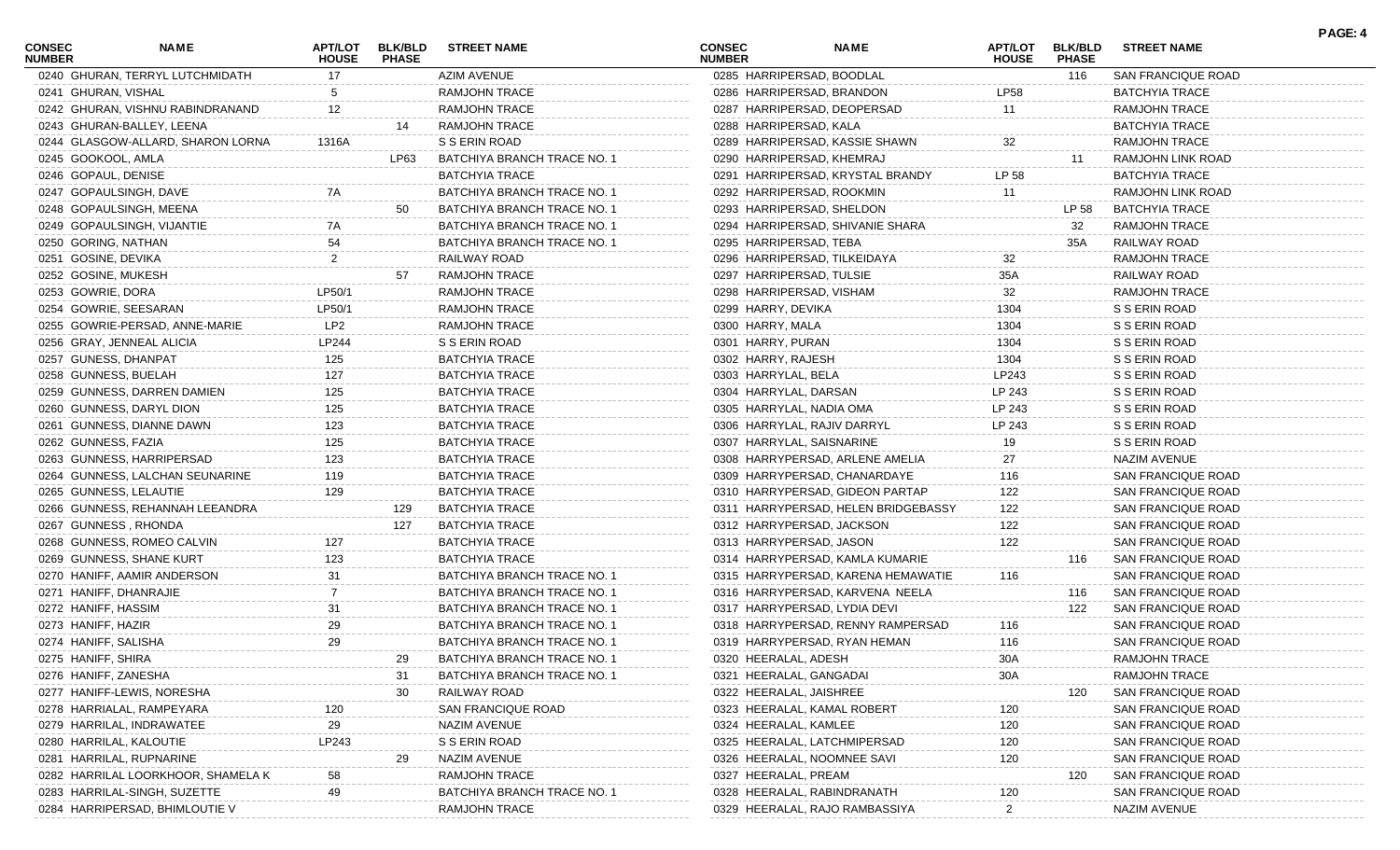| <b>CONSEC</b><br><b>NUMBER</b> | <b>NAME</b>                        | <b>HOUSE</b> | APT/LOT BLK/BLD<br><b>PHASE</b> | <b>STREET NAME</b>          | <b>CONSEC</b><br><b>NUMBER</b> |                                | <b>NAME</b>                         | APT/LOT<br><b>HOUSE</b> | <b>BLK/BLD</b><br><b>PHASE</b> | <b>STREET NAME</b>        |  |
|--------------------------------|------------------------------------|--------------|---------------------------------|-----------------------------|--------------------------------|--------------------------------|-------------------------------------|-------------------------|--------------------------------|---------------------------|--|
|                                | 0240 GHURAN, TERRYL LUTCHMIDATH    | 17           |                                 | AZIM AVENUE                 |                                | 0285 HARRIPERSAD, BOODLAL      |                                     |                         | 116                            | SAN FRANCIQUE ROAD        |  |
|                                | 0241 GHURAN, VISHAL                |              |                                 | <b>RAMJOHN TRACE</b>        |                                | 0286 HARRIPERSAD, BRANDON      |                                     | <b>LP58</b>             |                                | BATCHYIA TRACE            |  |
|                                | 0242 GHURAN, VISHNU RABINDRANAND   | 12           |                                 | RAMJOHN TRACE               |                                | 0287 HARRIPERSAD, DEOPERSAD    |                                     | 11                      |                                | <b>RAMJOHN TRACE</b>      |  |
|                                | 0243 GHURAN-BALLEY, LEENA          |              | 14                              | <b>RAMJOHN TRACE</b>        |                                | 0288 HARRIPERSAD, KALA         |                                     |                         |                                | <b>BATCHYIA TRACE</b>     |  |
|                                | 0244 GLASGOW-ALLARD, SHARON LORNA  | 1316A        |                                 | S S ERIN ROAD               |                                | 0289 HARRIPERSAD, KASSIE SHAWN |                                     | 32                      |                                | <b>RAMJOHN TRACE</b>      |  |
|                                | 0245 GOOKOOL, AMLA                 |              | LP63                            | BATCHIYA BRANCH TRACE NO. 1 |                                | 0290 HARRIPERSAD, KHEMRAJ      |                                     |                         | 11                             | RAMJOHN LINK ROAD         |  |
|                                | 0246 GOPAUL, DENISE                |              |                                 | <b>BATCHYIA TRACE</b>       |                                |                                | 0291 HARRIPERSAD, KRYSTAL BRANDY    | LP 58                   |                                | <b>BATCHYIA TRACE</b>     |  |
|                                | 0247 GOPAULSINGH, DAVE             | 7A           |                                 | BATCHIYA BRANCH TRACE NO. 1 |                                | 0292 HARRIPERSAD, ROOKMIN      |                                     | 11                      |                                | RAMJOHN LINK ROAD         |  |
|                                | 0248 GOPAULSINGH, MEENA            |              | 50                              | BATCHIYA BRANCH TRACE NO. 1 |                                | 0293 HARRIPERSAD, SHELDON      |                                     |                         | LP 58                          | <b>BATCHYIA TRACE</b>     |  |
|                                | 0249 GOPAULSINGH, VIJANTIE         |              |                                 | BATCHIYA BRANCH TRACE NO. 1 |                                |                                | 0294 HARRIPERSAD, SHIVANIE SHARA    |                         | 32                             | <b>RAMJOHN TRACE</b>      |  |
|                                | 0250 GORING, NATHAN                | 54           |                                 | BATCHIYA BRANCH TRACE NO. 1 |                                | 0295 HARRIPERSAD, TEBA         |                                     |                         | 35A                            | RAILWAY ROAD              |  |
|                                | 0251 GOSINE, DEVIKA                | 2            |                                 | RAILWAY ROAD                |                                | 0296 HARRIPERSAD, TILKEIDAYA   |                                     | 32                      |                                | <b>RAMJOHN TRACE</b>      |  |
|                                | 0252 GOSINE, MUKESH                |              | 57                              | <b>RAMJOHN TRACE</b>        |                                | 0297 HARRIPERSAD, TULSIE       |                                     | 35A                     |                                | RAILWAY ROAD              |  |
|                                | 0253 GOWRIE, DORA                  | LP50/1       |                                 | <b>RAMJOHN TRACE</b>        |                                | 0298 HARRIPERSAD, VISHAM       |                                     | 32                      |                                | <b>RAMJOHN TRACE</b>      |  |
|                                | 0254 GOWRIE, SEESARAN              | LP50/1       |                                 | RAMJOHN TRACE               |                                | 0299 HARRY, DEVIKA             |                                     | 1304                    |                                | S S ERIN ROAD             |  |
|                                | 0255 GOWRIE-PERSAD, ANNE-MARIE     | LP2          |                                 | <b>RAMJOHN TRACE</b>        |                                | 0300 HARRY, MALA               |                                     | 1304                    |                                | S S ERIN ROAD             |  |
|                                | 0256 GRAY, JENNEAL ALICIA          | LP244        |                                 | S S ERIN ROAD               |                                | 0301 HARRY, PURAN              |                                     | 1304                    |                                | S S ERIN ROAD             |  |
|                                | 0257 GUNESS, DHANPAT               | 125          |                                 | <b>BATCHYIA TRACE</b>       |                                | 0302 HARRY, RAJESH             |                                     | 1304                    |                                | S S ERIN ROAD             |  |
|                                | 0258 GUNNESS, BUELAH               | 127          |                                 | <b>BATCHYIA TRACE</b>       |                                | 0303 HARRYLAL, BELA            |                                     | LP243                   |                                | S S ERIN ROAD             |  |
|                                | 0259 GUNNESS, DARREN DAMIEN        | 125          |                                 | <b>BATCHYIA TRACE</b>       |                                | 0304 HARRYLAL, DARSAN          |                                     | LP 243                  |                                | S S ERIN ROAD             |  |
|                                | 0260 GUNNESS, DARYL DION           | 125          |                                 | <b>BATCHYIA TRACE</b>       |                                | 0305 HARRYLAL, NADIA OMA       |                                     | LP 243                  |                                | S S ERIN ROAD             |  |
|                                | 0261 GUNNESS, DIANNE DAWN          | 123          |                                 | <b>BATCHYIA TRACE</b>       |                                | 0306 HARRYLAL, RAJIV DARRYL    |                                     | LP 243                  |                                | S S ERIN ROAD             |  |
|                                | 0262 GUNNESS, FAZIA                | 125          |                                 | <b>BATCHYIA TRACE</b>       |                                | 0307 HARRYLAL, SAISNARINE      |                                     | 19                      |                                | S S ERIN ROAD             |  |
|                                | 0263 GUNNESS, HARRIPERSAD          | 123          |                                 | <b>BATCHYIA TRACE</b>       |                                |                                | 0308 HARRYPERSAD, ARLENE AMELIA     | 27                      |                                | NAZIM AVENUE              |  |
|                                | 0264 GUNNESS, LALCHAN SEUNARINE    | 119          |                                 | <b>BATCHYIA TRACE</b>       |                                | 0309 HARRYPERSAD, CHANARDAYE   |                                     | 116                     |                                | SAN FRANCIQUE ROAD        |  |
|                                | 0265 GUNNESS, LELAUTIE             | 129          |                                 | <b>BATCHYIA TRACE</b>       |                                |                                | 0310 HARRYPERSAD, GIDEON PARTAP     | 122                     |                                | SAN FRANCIQUE ROAD        |  |
|                                | 0266 GUNNESS, REHANNAH LEEANDRA    |              | 129                             | <b>BATCHYIA TRACE</b>       |                                |                                | 0311 HARRYPERSAD, HELEN BRIDGEBASSY | 122                     |                                | SAN FRANCIQUE ROAD        |  |
|                                | 0267 GUNNESS, RHONDA               |              | 127                             | <b>BATCHYIA TRACE</b>       |                                | 0312 HARRYPERSAD, JACKSON      |                                     | 122                     |                                | SAN FRANCIQUE ROAD        |  |
|                                | 0268 GUNNESS, ROMEO CALVIN         | 127          |                                 | <b>BATCHYIA TRACE</b>       |                                | 0313 HARRYPERSAD, JASON        |                                     | 122                     |                                | SAN FRANCIQUE ROAD        |  |
|                                | 0269 GUNNESS, SHANE KURT           | 123          |                                 | <b>BATCHYIA TRACE</b>       |                                |                                | 0314 HARRYPERSAD, KAMLA KUMARIE     |                         | 116                            | <b>SAN FRANCIQUE ROAD</b> |  |
|                                | 0270 HANIFF, AAMIR ANDERSON        | 31           |                                 | BATCHIYA BRANCH TRACE NO. 1 |                                |                                | 0315 HARRYPERSAD, KARENA HEMAWATIE  | 116                     |                                | SAN FRANCIQUE ROAD        |  |
|                                | 0271 HANIFF, DHANRAJIE             |              |                                 | BATCHIYA BRANCH TRACE NO. 1 |                                |                                | 0316 HARRYPERSAD, KARVENA NEELA     |                         | 116                            | <b>SAN FRANCIQUE ROAD</b> |  |
|                                | 0272 HANIFF, HASSIM                | 31           |                                 | BATCHIYA BRANCH TRACE NO. 1 |                                | 0317 HARRYPERSAD, LYDIA DEVI   |                                     |                         | 122                            | <b>SAN FRANCIQUE ROAD</b> |  |
|                                | 0273 HANIFF, HAZIR                 | 29           |                                 | BATCHIYA BRANCH TRACE NO. 1 |                                |                                | 0318 HARRYPERSAD, RENNY RAMPERSAD   | 116                     |                                | SAN FRANCIQUE ROAD        |  |
|                                | 0274 HANIFF, SALISHA               | 29           |                                 | BATCHIYA BRANCH TRACE NO. 1 |                                | 0319 HARRYPERSAD, RYAN HEMAN   |                                     | 116                     |                                | SAN FRANCIQUE ROAD        |  |
|                                | 0275 HANIFF, SHIRA                 |              |                                 | BATCHIYA BRANCH TRACE NO. 1 |                                | 0320 HEERALAL, ADESH           |                                     | 30A                     |                                | RAMJOHN TRACE             |  |
|                                | 0276 HANIFF, ZANESHA               |              | -31                             | BATCHIYA BRANCH TRACE NO. 1 |                                | 0321 HEERALAL, GANGADAI        |                                     | 30A                     |                                | RAMJOHN TRACE             |  |
|                                | 0277 HANIFF-LEWIS, NORESHA         |              | 30                              | RAILWAY ROAD                |                                | 0322 HEERALAL, JAISHREE        |                                     |                         | 120                            | SAN FRANCIQUE ROAD        |  |
|                                | 0278 HARRIALAL, RAMPEYARA          | 120          |                                 | SAN FRANCIQUE ROAD          |                                | 0323 HEERALAL, KAMAL ROBERT    |                                     | 120                     |                                | SAN FRANCIQUE ROAD        |  |
|                                | 0279 HARRILAL, INDRAWATEE          | 29           |                                 | NAZIM AVENUE                |                                | 0324 HEERALAL, KAMLEE          |                                     | 120                     |                                | SAN FRANCIQUE ROAD        |  |
|                                | 0280 HARRILAL, KALOUTIE            | LP243        |                                 | S S ERIN ROAD               |                                | 0325 HEERALAL, LATCHMIPERSAD   |                                     | 120                     |                                | SAN FRANCIQUE ROAD        |  |
|                                | 0281 HARRILAL, RUPNARINE           |              | 29                              | NAZIM AVENUE                |                                | 0326 HEERALAL, NOOMNEE SAVI    |                                     | 120                     |                                | SAN FRANCIQUE ROAD        |  |
|                                | 0282 HARRILAL LOORKHOOR, SHAMELA K | 58           |                                 | <b>RAMJOHN TRACE</b>        |                                | 0327 HEERALAL, PREAM           |                                     |                         | 120                            | SAN FRANCIQUE ROAD        |  |
|                                | 0283 HARRILAL-SINGH, SUZETTE       |              |                                 | BATCHIYA BRANCH TRACE NO.   |                                | 0328 HEERALAL, RABINDRANATH    |                                     | 120                     |                                | SAN FRANCIQUE ROAD        |  |
|                                | 0284 HARRIPERSAD, BHIMLOUTIE V     |              |                                 | RAMJOHN TRACE               |                                | 0329 HEERALAL, RAJO RAMBASSIYA |                                     | 2                       |                                | NAZIM AVENUE              |  |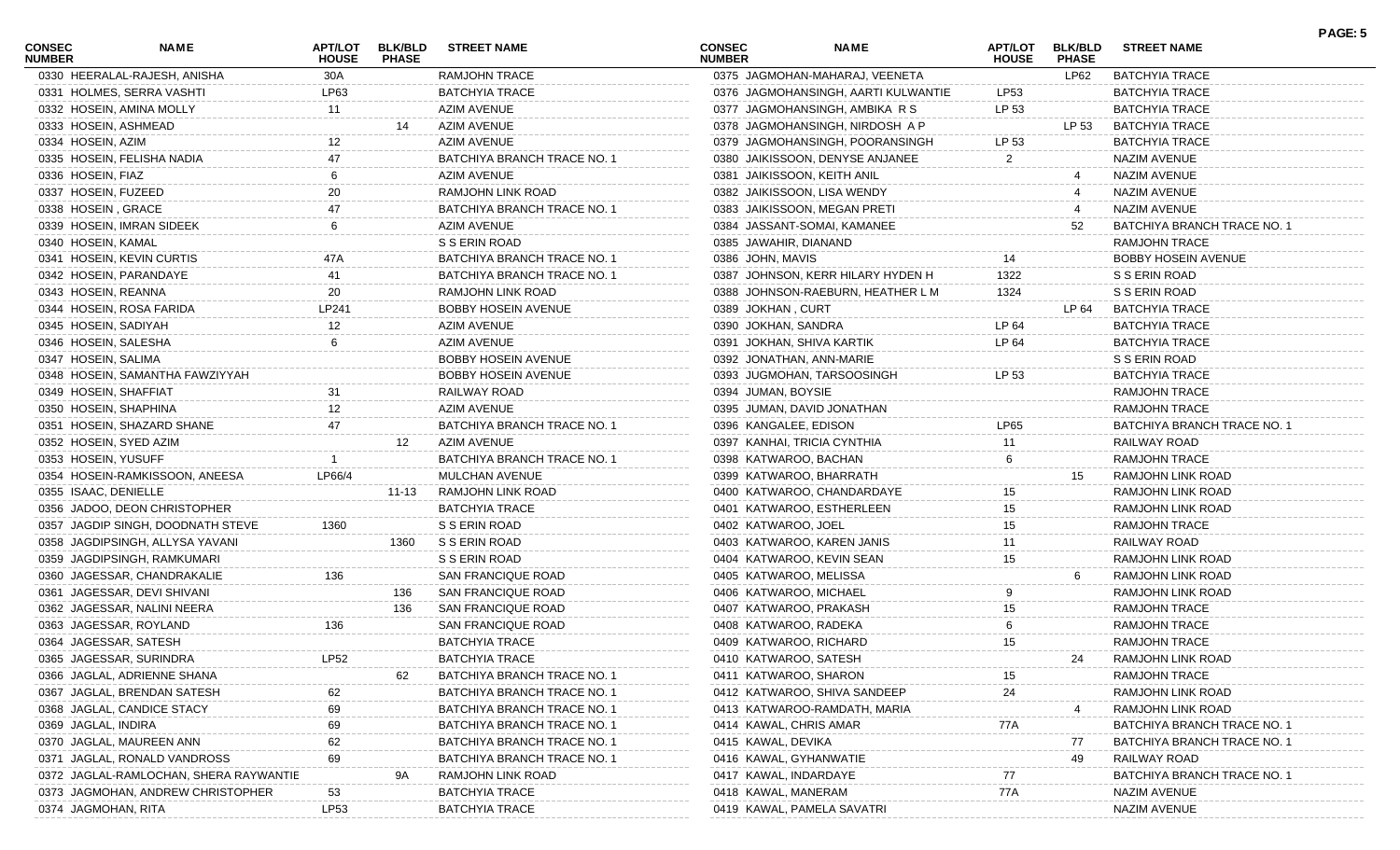| <b>CONSEC</b><br><b>NUMBER</b> | NAME                                   | APT/LOT<br><b>HOUSE</b> | <b>BLK/BLD</b><br><b>PHASE</b> | <b>STREET NAME</b>          | <b>CONSEC</b><br><b>NUMBER</b> | <b>NAME</b>                         | APT/LOT<br><b>HOUSE</b> | <b>BLK/BLD</b><br><b>PHASE</b> | <b>STREET NAME</b>          | PAGE: 5 |
|--------------------------------|----------------------------------------|-------------------------|--------------------------------|-----------------------------|--------------------------------|-------------------------------------|-------------------------|--------------------------------|-----------------------------|---------|
|                                | 0330 HEERALAL-RAJESH, ANISHA           | 30A                     |                                | RAMJOHN TRACE               |                                | 0375 JAGMOHAN-MAHARAJ, VEENETA      |                         | LP62                           | <b>BATCHYIA TRACE</b>       |         |
|                                | 0331 HOLMES, SERRA VASHTI              | LP63                    |                                | <b>BATCHYIA TRACE</b>       |                                | 0376 JAGMOHANSINGH, AARTI KULWANTIE | LP53                    |                                | <b>BATCHYIA TRACE</b>       |         |
|                                | 0332 HOSEIN, AMINA MOLLY               | 11                      |                                | <b>AZIM AVENUE</b>          |                                | 0377 JAGMOHANSINGH, AMBIKA R S      | LP 53                   |                                | <b>BATCHYIA TRACE</b>       |         |
|                                | 0333 HOSEIN, ASHMEAD                   |                         | 14                             | AZIM AVENUE                 |                                | 0378 JAGMOHANSINGH, NIRDOSH A P     |                         | LP 53                          | <b>BATCHYIA TRACE</b>       |         |
| 0334 HOSEIN, AZIM              |                                        |                         |                                | <b>AZIM AVENUE</b>          |                                | 0379 JAGMOHANSINGH, POORANSINGH     | LP 53                   |                                | BATCHYIA TRACE              |         |
|                                | 0335 HOSEIN, FELISHA NADIA             |                         |                                | BATCHIYA BRANCH TRACE NO. 1 |                                | 0380 JAIKISSOON, DENYSE ANJANEE     | $\mathbf{2}$            |                                | NAZIM AVENUE                |         |
| 0336 HOSEIN, FIAZ              |                                        |                         |                                | <b>AZIM AVENUE</b>          |                                | 0381 JAIKISSOON, KEITH ANIL         |                         |                                | <b>NAZIM AVENUE</b>         |         |
| 0337 HOSEIN, FUZEED            |                                        | 20                      |                                | RAMJOHN LINK ROAD           |                                | 0382 JAIKISSOON, LISA WENDY         |                         |                                | NAZIM AVENUE                |         |
| 0338 HOSEIN, GRACE             |                                        |                         |                                | BATCHIYA BRANCH TRACE NO. 1 |                                | 0383 JAIKISSOON, MEGAN PRETI        |                         |                                | NAZIM AVENUE                |         |
|                                | 0339 HOSEIN, IMRAN SIDEEK              | 6                       |                                | AZIM AVENUE                 |                                | 0384 JASSANT-SOMAI, KAMANEE         |                         | 52                             | BATCHIYA BRANCH TRACE NO. 1 |         |
| 0340 HOSEIN, KAMAL             |                                        |                         |                                | S S ERIN ROAD               | 0385 JAWAHIR, DIANAND          |                                     |                         |                                | <b>RAMJOHN TRACE</b>        |         |
|                                | 0341 HOSEIN, KEVIN CURTIS              | 47A                     |                                | BATCHIYA BRANCH TRACE NO. 1 | 0386 JOHN, MAVIS               |                                     |                         |                                | <b>BOBBY HOSEIN AVENUE</b>  |         |
|                                | 0342 HOSEIN, PARANDAYE                 | 41                      |                                | BATCHIYA BRANCH TRACE NO. 1 |                                | 0387 JOHNSON, KERR HILARY HYDEN H   | 1322                    |                                | S S ERIN ROAD               |         |
| 0343 HOSEIN, REANNA            |                                        | 20                      |                                | RAMJOHN LINK ROAD           |                                | 0388 JOHNSON-RAEBURN, HEATHER L M   | 1324                    |                                | S S ERIN ROAD               |         |
|                                | 0344 HOSEIN, ROSA FARIDA               | LP241                   |                                | <b>BOBBY HOSEIN AVENUE</b>  | 0389 JOKHAN, CURT              |                                     |                         | LP 64                          | <b>BATCHYIA TRACE</b>       |         |
| 0345 HOSEIN, SADIYAH           |                                        | 12                      |                                | AZIM AVENUE                 | 0390 JOKHAN, SANDRA            |                                     | LP 64                   |                                | <b>BATCHYIA TRACE</b>       |         |
|                                | 0346 HOSEIN, SALESHA                   | 6                       |                                | AZIM AVENUE                 |                                | 0391 JOKHAN, SHIVA KARTIK           | LP 64                   |                                | <b>BATCHYIA TRACE</b>       |         |
| 0347 HOSEIN, SALIMA            |                                        |                         |                                | <b>BOBBY HOSEIN AVENUE</b>  |                                | 0392 JONATHAN, ANN-MARIE            |                         |                                | S S ERIN ROAD               |         |
|                                | 0348 HOSEIN, SAMANTHA FAWZIYYAH        |                         |                                | <b>BOBBY HOSEIN AVENUE</b>  |                                | 0393 JUGMOHAN, TARSOOSINGH          | LP 53                   |                                | <b>BATCHYIA TRACE</b>       |         |
|                                | 0349 HOSEIN, SHAFFIAT                  | 31                      |                                | RAILWAY ROAD                | 0394 JUMAN, BOYSIE             |                                     |                         |                                | <b>RAMJOHN TRACE</b>        |         |
|                                | 0350 HOSEIN, SHAPHINA                  | 12                      |                                | AZIM AVENUE                 |                                | 0395 JUMAN, DAVID JONATHAN          |                         |                                | RAMJOHN TRACE               |         |
|                                | 0351 HOSEIN, SHAZARD SHANE             | 47                      |                                | BATCHIYA BRANCH TRACE NO. 1 |                                | 0396 KANGALEE, EDISON               | LP65                    |                                | BATCHIYA BRANCH TRACE NO. 1 |         |
|                                | 0352 HOSEIN, SYED AZIM                 |                         | 12                             | AZIM AVENUE                 |                                | 0397 KANHAI, TRICIA CYNTHIA         |                         |                                | RAILWAY ROAD                |         |
|                                |                                        |                         |                                | BATCHIYA BRANCH TRACE NO. 1 |                                | 0398 KATWAROO, BACHAN               | 11                      |                                | RAMJOHN TRACE               |         |
| 0353 HOSEIN, YUSUFF            |                                        |                         |                                |                             |                                |                                     | 6                       |                                |                             |         |
|                                | 0354 HOSEIN-RAMKISSOON, ANEESA         | LP66/4                  |                                | MULCHAN AVENUE              |                                | 0399 KATWAROO, BHARRATH             |                         | 15                             | RAMJOHN LINK ROAD           |         |
| 0355 ISAAC, DENIELLE           |                                        |                         | 11-13                          | RAMJOHN LINK ROAD           |                                | 0400 KATWAROO, CHANDARDAYE          | 15                      |                                | RAMJOHN LINK ROAD           |         |
|                                | 0356 JADOO, DEON CHRISTOPHER           |                         |                                | <b>BATCHYIA TRACE</b>       |                                | 0401 KATWAROO, ESTHERLEEN           | 15                      |                                | RAMJOHN LINK ROAD           |         |
|                                | 0357 JAGDIP SINGH, DOODNATH STEVE      | 1360                    |                                | S S ERIN ROAD               | 0402 KATWAROO, JOEL            |                                     | 15                      |                                | <b>RAMJOHN TRACE</b>        |         |
|                                | 0358 JAGDIPSINGH, ALLYSA YAVANI        |                         | 1360                           | S S ERIN ROAD               |                                | 0403 KATWAROO, KAREN JANIS          | 11                      |                                | RAILWAY ROAD                |         |
|                                | 0359 JAGDIPSINGH, RAMKUMARI            |                         |                                | S S ERIN ROAD               |                                | 0404 KATWAROO, KEVIN SEAN           | 15                      |                                | RAMJOHN LINK ROAD           |         |
|                                | 0360 JAGESSAR, CHANDRAKALIE            | 136                     |                                | SAN FRANCIQUE ROAD          |                                | 0405 KATWAROO, MELISSA              |                         |                                | RAMJOHN LINK ROAD           |         |
|                                | 0361 JAGESSAR, DEVI SHIVANI            |                         | 136                            | SAN FRANCIQUE ROAD          |                                | 0406 KATWAROO, MICHAEL              |                         |                                | RAMJOHN LINK ROAD           |         |
|                                | 0362 JAGESSAR, NALINI NEERA            |                         | 136                            | SAN FRANCIQUE ROAD          |                                | 0407 KATWAROO, PRAKASH              | 15                      |                                | <b>RAMJOHN TRACE</b>        |         |
|                                | 0363 JAGESSAR, ROYLAND                 | 136                     |                                | SAN FRANCIQUE ROAD          |                                | 0408 KATWAROO, RADEKA               |                         |                                | RAMJOHN TRACE               |         |
|                                | 0364 JAGESSAR, SATESH                  |                         |                                | <b>BATCHYIA TRACE</b>       |                                | 0409 KATWAROO, RICHARD              | 15                      |                                | RAMJOHN TRACE               |         |
|                                | 0365 JAGESSAR, SURINDRA                | <b>LP52</b>             |                                | <b>BATCHYIA TRACE</b>       |                                | 0410 KATWAROO, SATESH               |                         | 24                             | RAMJOHN LINK ROAD           |         |
|                                | 0366 JAGLAL, ADRIENNE SHANA            |                         | 62                             | BATCHIYA BRANCH TRACE NO. 1 |                                | 0411 KATWAROO, SHARON               | 15                      |                                | <b>RAMJOHN TRACE</b>        |         |
|                                | 0367 JAGLAL, BRENDAN SATESH            | 62                      |                                | BATCHIYA BRANCH TRACE NO. 1 |                                | 0412 KATWAROO, SHIVA SANDEEP        | 24                      |                                | RAMJOHN LINK ROAD           |         |
|                                | 0368 JAGLAL, CANDICE STACY             | 69                      |                                | BATCHIYA BRANCH TRACE NO. 1 |                                | 0413 KATWAROO-RAMDATH, MARIA        |                         |                                | RAMJOHN LINK ROAD           |         |
| 0369 JAGLAL, INDIRA            |                                        | 69                      |                                | BATCHIYA BRANCH TRACE NO. 1 |                                | 0414 KAWAL, CHRIS AMAR              | 77A                     |                                | BATCHIYA BRANCH TRACE NO.   |         |
|                                | 0370 JAGLAL, MAUREEN ANN               | 62                      |                                | BATCHIYA BRANCH TRACE NO. 1 | 0415 KAWAL, DEVIKA             |                                     |                         | 77                             | BATCHIYA BRANCH TRACE NO. 1 |         |
|                                | 0371 JAGLAL, RONALD VANDROSS           | 69                      |                                | BATCHIYA BRANCH TRACE NO. 1 |                                | 0416 KAWAL, GYHANWATIE              |                         | 49                             | RAILWAY ROAD                |         |
|                                | 0372 JAGLAL-RAMLOCHAN, SHERA RAYWANTIE |                         | 9Α                             | RAMJOHN LINK ROAD           |                                | 0417 KAWAL, INDARDAYE               | 77                      |                                | BATCHIYA BRANCH TRACE NO.   |         |
|                                | 0373 JAGMOHAN, ANDREW CHRISTOPHER      | 53                      |                                | <b>BATCHYIA TRACE</b>       | 0418 KAWAL, MANERAM            |                                     | 77A                     |                                | NAZIM AVENUE                |         |
| 0374 JAGMOHAN, RITA            |                                        | LP53                    |                                | <b>BATCHYIA TRACE</b>       |                                | 0419 KAWAL, PAMELA SAVATRI          |                         |                                | NAZIM AVENUE                |         |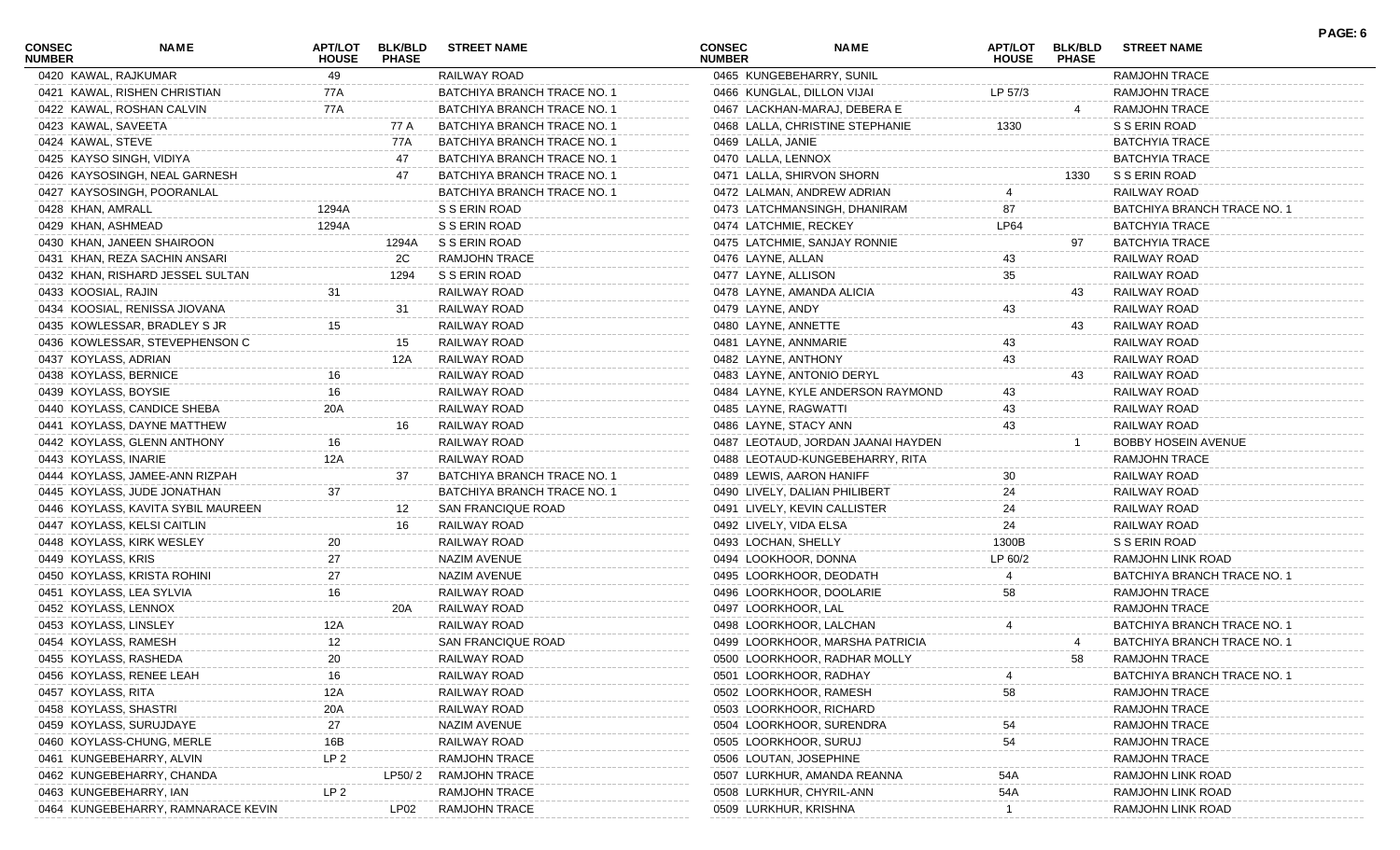| <b>CONSEC</b><br><b>NUMBER</b> | NAME                               | APT/LOT<br><b>HOUSE</b> | <b>BLK/BLD</b><br><b>PHASE</b> | <b>STREET NAME</b>          | <b>CONSEC</b><br><b>NUMBER</b> |                                 | NAME                               | <b>APT/LOT</b><br><b>HOUSE</b> | <b>BLK/BLD</b><br><b>PHASE</b> | <b>STREET NAME</b>          | PAGE: 6 |
|--------------------------------|------------------------------------|-------------------------|--------------------------------|-----------------------------|--------------------------------|---------------------------------|------------------------------------|--------------------------------|--------------------------------|-----------------------------|---------|
|                                | 0420 KAWAL, RAJKUMAR               | 49                      |                                | RAILWAY ROAD                |                                | 0465 KUNGEBEHARRY, SUNIL        |                                    |                                |                                | RAMJOHN TRACE               |         |
|                                | 0421 KAWAL, RISHEN CHRISTIAN       | 77A                     |                                | BATCHIYA BRANCH TRACE NO. 1 |                                | 0466 KUNGLAL, DILLON VIJAI      |                                    | LP 57/3                        |                                | RAMJOHN TRACE               |         |
|                                | 0422 KAWAL, ROSHAN CALVIN          | 77A                     |                                | BATCHIYA BRANCH TRACE NO. 1 |                                | 0467 LACKHAN-MARAJ, DEBERA E    |                                    |                                |                                | <b>RAMJOHN TRACE</b>        |         |
|                                | 0423 KAWAL, SAVEETA                |                         | 77 A                           | BATCHIYA BRANCH TRACE NO. 1 |                                | 0468 LALLA, CHRISTINE STEPHANIE |                                    | 1330                           |                                | S S ERIN ROAD               |         |
| 0424 KAWAL, STEVE              |                                    |                         | 77A                            | BATCHIYA BRANCH TRACE NO. 1 |                                | 0469 LALLA, JANIE               |                                    |                                |                                | <b>BATCHYIA TRACE</b>       |         |
|                                | 0425 KAYSO SINGH, VIDIYA           |                         | 47                             | BATCHIYA BRANCH TRACE NO. 1 |                                | 0470 LALLA, LENNOX              |                                    |                                |                                | <b>BATCHYIA TRACE</b>       |         |
|                                | 0426 KAYSOSINGH, NEAL GARNESH      |                         | 47                             | BATCHIYA BRANCH TRACE NO. 1 |                                | 0471 LALLA, SHIRVON SHORN       |                                    |                                | 1330                           | S S ERIN ROAD               |         |
|                                | 0427 KAYSOSINGH, POORANLAL         |                         |                                | BATCHIYA BRANCH TRACE NO. 1 |                                | 0472 LALMAN, ANDREW ADRIAN      |                                    |                                |                                | RAILWAY ROAD                |         |
| 0428 KHAN, AMRALL              |                                    | 1294A                   |                                | S S ERIN ROAD               |                                | 0473 LATCHMANSINGH, DHANIRAM    |                                    | 87                             |                                | BATCHIYA BRANCH TRACE NO. 1 |         |
| 0429 KHAN, ASHMEAD             |                                    | 1294A                   |                                | S S ERIN ROAD               |                                | 0474 LATCHMIE, RECKEY           |                                    | LP64                           |                                | <b>BATCHYIA TRACE</b>       |         |
|                                | 0430 KHAN, JANEEN SHAIROON         |                         | 1294A                          | S S ERIN ROAD               |                                | 0475 LATCHMIE, SANJAY RONNIE    |                                    |                                | 97                             | <b>BATCHYIA TRACE</b>       |         |
|                                | 0431 KHAN, REZA SACHIN ANSARI      |                         | 2C                             | RAMJOHN TRACE               |                                | 0476 LAYNE, ALLAN               |                                    | 43                             |                                | RAILWAY ROAD                |         |
|                                | 0432 KHAN, RISHARD JESSEL SULTAN   |                         | 1294                           | S S ERIN ROAD               |                                | 0477 LAYNE, ALLISON             |                                    | 35                             |                                | RAILWAY ROAD                |         |
| 0433 KOOSIAL, RAJIN            |                                    | 31                      |                                | RAILWAY ROAD                |                                | 0478 LAYNE, AMANDA ALICIA       |                                    |                                | 43                             | RAILWAY ROAD                |         |
|                                | 0434 KOOSIAL, RENISSA JIOVANA      |                         | 31                             | RAILWAY ROAD                |                                | 0479 LAYNE, ANDY                |                                    | 43                             |                                | RAILWAY ROAD                |         |
|                                | 0435 KOWLESSAR, BRADLEY S JR       | 15                      |                                | RAILWAY ROAD                |                                | 0480 LAYNE, ANNETTE             |                                    |                                | 43                             | RAILWAY ROAD                |         |
|                                | 0436 KOWLESSAR, STEVEPHENSON C     |                         | 15                             | RAILWAY ROAD                |                                | 0481 LAYNE, ANNMARIE            |                                    | 43                             |                                | RAILWAY ROAD                |         |
|                                | 0437 KOYLASS, ADRIAN               |                         | 12A                            | RAILWAY ROAD                |                                | 0482 LAYNE, ANTHONY             |                                    | 43                             |                                | RAILWAY ROAD                |         |
|                                | 0438 KOYLASS, BERNICE              |                         |                                | RAILWAY ROAD                |                                | 0483 LAYNE, ANTONIO DERYL       |                                    |                                | 43                             | RAILWAY ROAD                |         |
|                                | 0439 KOYLASS, BOYSIE               | 16                      |                                | RAILWAY ROAD                |                                |                                 | 0484 LAYNE, KYLE ANDERSON RAYMOND  | 43                             |                                | RAILWAY ROAD                |         |
|                                | 0440 KOYLASS, CANDICE SHEBA        | 20A                     |                                | RAILWAY ROAD                |                                | 0485 LAYNE, RAGWATTI            |                                    | 43                             |                                | RAILWAY ROAD                |         |
|                                | 0441 KOYLASS, DAYNE MATTHEW        |                         | 16                             | RAILWAY ROAD                |                                | 0486 LAYNE, STACY ANN           |                                    | 43                             |                                | RAILWAY ROAD                |         |
|                                | 0442 KOYLASS, GLENN ANTHONY        |                         |                                | RAILWAY ROAD                |                                |                                 | 0487 LEOTAUD, JORDAN JAANAI HAYDEN |                                |                                | <b>BOBBY HOSEIN AVENUE</b>  |         |
|                                | 0443 KOYLASS, INARIE               | 12A                     |                                | RAILWAY ROAD                |                                | 0488 LEOTAUD-KUNGEBEHARRY, RITA |                                    |                                |                                | <b>RAMJOHN TRACE</b>        |         |
|                                | 0444 KOYLASS, JAMEE-ANN RIZPAH     |                         | 37                             | BATCHIYA BRANCH TRACE NO. 1 |                                | 0489 LEWIS, AARON HANIFF        |                                    | 30                             |                                | RAILWAY ROAD                |         |
|                                | 0445 KOYLASS, JUDE JONATHAN        | 37                      |                                | BATCHIYA BRANCH TRACE NO. 1 |                                | 0490 LIVELY, DALIAN PHILIBERT   |                                    | 24                             |                                | RAILWAY ROAD                |         |
|                                | 0446 KOYLASS, KAVITA SYBIL MAUREEN |                         | 12                             | SAN FRANCIQUE ROAD          |                                | 0491 LIVELY, KEVIN CALLISTER    |                                    | 24                             |                                | RAILWAY ROAD                |         |
|                                | 0447 KOYLASS, KELSI CAITLIN        |                         | 16                             | RAILWAY ROAD                |                                | 0492 LIVELY, VIDA ELSA          |                                    | 24                             |                                | RAILWAY ROAD                |         |
|                                | 0448 KOYLASS, KIRK WESLEY          | 20                      |                                | RAILWAY ROAD                |                                | 0493 LOCHAN, SHELLY             |                                    | 1300B                          |                                | S S ERIN ROAD               |         |
| 0449 KOYLASS, KRIS             |                                    | 27                      |                                | <b>NAZIM AVENUE</b>         |                                | 0494 LOOKHOOR, DONNA            |                                    | LP 60/2                        |                                | RAMJOHN LINK ROAD           |         |
|                                | 0450 KOYLASS, KRISTA ROHINI        | 27                      |                                | <b>NAZIM AVENUE</b>         |                                | 0495 LOORKHOOR, DEODATH         |                                    |                                |                                | BATCHIYA BRANCH TRACE NO. 1 |         |
|                                | 0451 KOYLASS, LEA SYLVIA           | 16                      |                                | RAILWAY ROAD                |                                | 0496 LOORKHOOR, DOOLARIE        |                                    | 58                             |                                | <b>RAMJOHN TRACE</b>        |         |
|                                | 0452 KOYLASS, LENNOX               |                         | 20A                            | RAILWAY ROAD                |                                | 0497 LOORKHOOR, LAL             |                                    |                                |                                | <b>RAMJOHN TRACE</b>        |         |
|                                | 0453 KOYLASS, LINSLEY              | 12A                     |                                | RAILWAY ROAD                |                                | 0498 LOORKHOOR, LALCHAN         |                                    |                                |                                | BATCHIYA BRANCH TRACE NO. 1 |         |
|                                | 0454 KOYLASS, RAMESH               | 12 <sup>2</sup>         |                                | SAN FRANCIQUE ROAD          |                                | 0499 LOORKHOOR, MARSHA PATRICIA |                                    |                                |                                | BATCHIYA BRANCH TRACE NO. 1 |         |
|                                | 0455 KOYLASS, RASHEDA              | 20                      |                                | RAILWAY ROAD                |                                | 0500 LOORKHOOR, RADHAR MOLLY    |                                    |                                | 58                             | RAMJOHN TRACE               |         |
|                                | 0456 KOYLASS, RENEE LEAH           | 16                      |                                | RAILWAY ROAD                |                                | 0501 LOORKHOOR, RADHAY          |                                    |                                |                                | BATCHIYA BRANCH TRACE NO.   |         |
| 0457 KOYLASS, RITA             |                                    | 12A                     |                                | RAILWAY ROAD                |                                | 0502 LOORKHOOR, RAMESH          |                                    | 58                             |                                | RAMJOHN TRACE               |         |
|                                |                                    |                         |                                |                             |                                |                                 |                                    |                                |                                |                             |         |
|                                | 0458 KOYLASS, SHASTRI              | 20A                     |                                | RAILWAY ROAD                |                                | 0503 LOORKHOOR, RICHARD         |                                    |                                |                                | RAMJOHN TRACE               |         |
|                                | 0459 KOYLASS, SURUJDAYE            | 27                      |                                | NAZIM AVENUE                |                                | 0504 LOORKHOOR, SURENDRA        |                                    | 54                             |                                | RAMJOHN TRACE               |         |
|                                | 0460 KOYLASS-CHUNG, MERLE          | 16B                     |                                | RAILWAY ROAD                |                                | 0505 LOORKHOOR, SURUJ           |                                    | 54                             |                                | RAMJOHN TRACE               |         |
|                                | 0461 KUNGEBEHARRY, ALVIN           | LP <sub>2</sub>         |                                | <b>RAMJOHN TRACE</b>        |                                | 0506 LOUTAN, JOSEPHINE          |                                    |                                |                                | <b>RAMJOHN TRACE</b>        |         |
|                                | 0462 KUNGEBEHARRY, CHANDA          |                         | LP50/2                         | RAMJOHN TRACE               |                                | 0507 LURKHUR, AMANDA REANNA     |                                    | 54A                            |                                | RAMJOHN LINK ROAD           |         |
|                                | 0463 KUNGEBEHARRY, IAN             | LP <sub>2</sub>         |                                | RAMJOHN TRACE               |                                | 0508 LURKHUR, CHYRIL-ANN        |                                    | 54A                            |                                | RAMJOHN LINK ROAD           |         |
|                                | 0464 KUNGEBEHARRY, RAMNARACE KEVIN |                         | LP02                           | <b>RAMJOHN TRACE</b>        |                                | 0509 LURKHUR, KRISHNA           |                                    |                                |                                | RAMJOHN LINK ROAD           |         |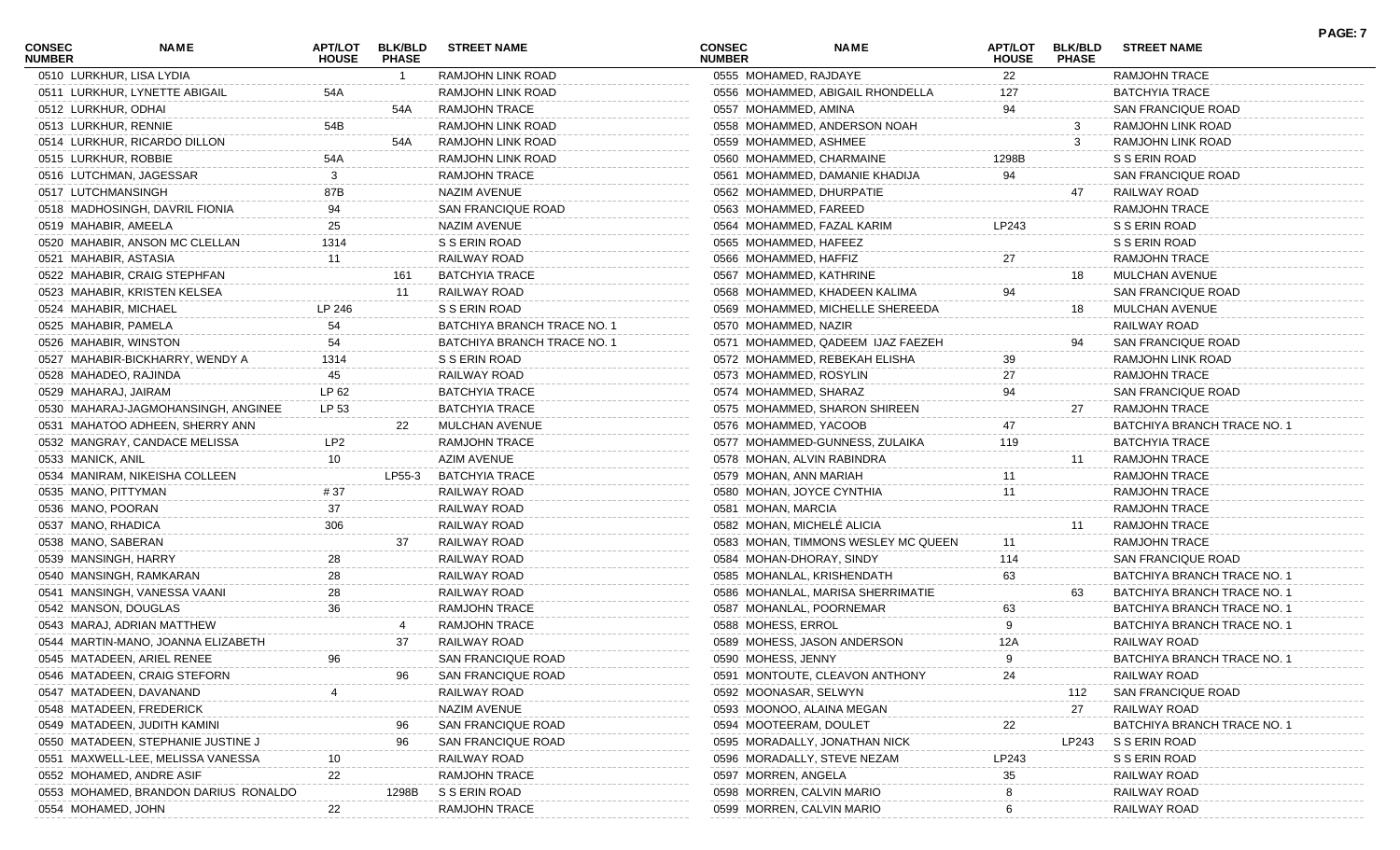| <b>CONSEC</b><br><b>NUMBER</b> | <b>NAME</b>                          | <b>APT/LOT</b><br><b>HOUSE</b> | <b>BLK/BLD</b><br><b>PHASE</b> | <b>STREET NAME</b>          | CONSEC<br><b>NUMBER</b>    | <b>NAME</b>                         | <b>APT/LOT</b><br><b>HOUSE</b> | <b>BLK/BLD</b><br><b>PHASE</b> | <b>STREET NAME</b>          | PAGE: 7 |
|--------------------------------|--------------------------------------|--------------------------------|--------------------------------|-----------------------------|----------------------------|-------------------------------------|--------------------------------|--------------------------------|-----------------------------|---------|
|                                | 0510 LURKHUR, LISA LYDIA             |                                |                                | RAMJOHN LINK ROAD           | 0555 MOHAMED, RAJDAYE      |                                     | 22                             |                                | <b>RAMJOHN TRACE</b>        |         |
|                                | 0511 LURKHUR, LYNETTE ABIGAIL        | 54A                            |                                | RAMJOHN LINK ROAD           |                            | 0556 MOHAMMED, ABIGAIL RHONDELLA    | 127                            |                                | BATCHYIA TRACE              |         |
| 0512 LURKHUR, ODHAI            |                                      |                                | 54A                            | <b>RAMJOHN TRACE</b>        | 0557 MOHAMMED, AMINA       |                                     | 94                             |                                | SAN FRANCIQUE ROAD          |         |
| 0513 LURKHUR, RENNIE           |                                      | 54B                            |                                | RAMJOHN LINK ROAD           |                            | 0558 MOHAMMED, ANDERSON NOAH        |                                |                                | RAMJOHN LINK ROAD           |         |
|                                | 0514 LURKHUR, RICARDO DILLON         |                                | 54A                            | RAMJOHN LINK ROAD           | 0559 MOHAMMED, ASHMEE      |                                     |                                |                                | RAMJOHN LINK ROAD           |         |
| 0515 LURKHUR, ROBBIE           |                                      | 54A                            |                                | RAMJOHN LINK ROAD           |                            | 0560 MOHAMMED, CHARMAINE            | 1298B                          |                                | S S ERIN ROAD               |         |
|                                | 0516 LUTCHMAN, JAGESSAR              |                                |                                | <b>RAMJOHN TRACE</b>        |                            | 0561 MOHAMMED, DAMANIE KHADIJA      | 94                             |                                | SAN FRANCIQUE ROAD          |         |
| 0517 LUTCHMANSINGH             |                                      | 87B                            |                                | NAZIM AVENUE                |                            | 0562 MOHAMMED, DHURPATIE            |                                | 47                             | RAILWAY ROAD                |         |
|                                | 0518 MADHOSINGH, DAVRIL FIONIA       | 94                             |                                | SAN FRANCIQUE ROAD          | 0563 MOHAMMED, FAREED      |                                     |                                |                                | <b>RAMJOHN TRACE</b>        |         |
| 0519 MAHABIR, AMEELA           |                                      | 25                             |                                | NAZIM AVENUE                |                            | 0564 MOHAMMED, FAZAL KARIM          | LP243                          |                                | S S ERIN ROAD               |         |
|                                | 0520 MAHABIR, ANSON MC CLELLAN       | 1314                           |                                | S S ERIN ROAD               | 0565 MOHAMMED, HAFEEZ      |                                     |                                |                                | S S ERIN ROAD               |         |
| 0521 MAHABIR, ASTASIA          |                                      | 11                             |                                | RAILWAY ROAD                | 0566 MOHAMMED, HAFFIZ      |                                     | 27                             |                                | <b>RAMJOHN TRACE</b>        |         |
|                                | 0522 MAHABIR, CRAIG STEPHFAN         |                                | 161                            | <b>BATCHYIA TRACE</b>       | 0567 MOHAMMED, KATHRINE    |                                     |                                | 18                             | MULCHAN AVENUE              |         |
|                                | 0523 MAHABIR, KRISTEN KELSEA         |                                | 11                             | RAILWAY ROAD                |                            | 0568 MOHAMMED, KHADEEN KALIMA       | 94                             |                                | SAN FRANCIQUE ROAD          |         |
| 0524 MAHABIR, MICHAEL          |                                      | LP 246                         |                                | S S ERIN ROAD               |                            | 0569 MOHAMMED, MICHELLE SHEREEDA    |                                | 18                             | MULCHAN AVENUE              |         |
| 0525 MAHABIR, PAMELA           |                                      | 54                             |                                | BATCHIYA BRANCH TRACE NO. 1 | 0570 MOHAMMED, NAZIR       |                                     |                                |                                | RAILWAY ROAD                |         |
| 0526 MAHABIR, WINSTON          |                                      | 54                             |                                | BATCHIYA BRANCH TRACE NO. 1 |                            | 0571 MOHAMMED, QADEEM IJAZ FAEZEH   |                                |                                | SAN FRANCIQUE ROAD          |         |
|                                | 0527 MAHABIR-BICKHARRY, WENDY A      | 1314                           |                                | S S ERIN ROAD               |                            | 0572 MOHAMMED, REBEKAH ELISHA       | 39                             |                                | RAMJOHN LINK ROAD           |         |
| 0528 MAHADEO, RAJINDA          |                                      | 45                             |                                | RAILWAY ROAD                | 0573 MOHAMMED, ROSYLIN     |                                     | 27                             |                                | <b>RAMJOHN TRACE</b>        |         |
| 0529 MAHARAJ, JAIRAM           |                                      | LP 62                          |                                | <b>BATCHYIA TRACE</b>       | 0574 MOHAMMED, SHARAZ      |                                     | 94                             |                                | SAN FRANCIQUE ROAD          |         |
|                                | 0530 MAHARAJ-JAGMOHANSINGH, ANGINEE  | LP 53                          |                                | <b>BATCHYIA TRACE</b>       |                            | 0575 MOHAMMED, SHARON SHIREEN       |                                | 27                             | RAMJOHN TRACE               |         |
|                                | 0531 MAHATOO ADHEEN, SHERRY ANN      |                                | 22                             | MULCHAN AVENUE              | 0576 MOHAMMED, YACOOB      |                                     | 47                             |                                | BATCHIYA BRANCH TRACE NO. 1 |         |
|                                | 0532 MANGRAY, CANDACE MELISSA        | LP <sub>2</sub>                |                                | <b>RAMJOHN TRACE</b>        |                            | 0577 MOHAMMED-GUNNESS, ZULAIKA      | 119                            |                                | <b>BATCHYIA TRACE</b>       |         |
| 0533 MANICK, ANIL              |                                      | 10 <sup>1</sup>                |                                | AZIM AVENUE                 |                            | 0578 MOHAN, ALVIN RABINDRA          |                                | 11                             | RAMJOHN TRACE               |         |
|                                | 0534 MANIRAM, NIKEISHA COLLEEN       |                                | LP55-3                         | <b>BATCHYIA TRACE</b>       | 0579 MOHAN, ANN MARIAH     |                                     |                                |                                | RAMJOHN TRACE               |         |
| 0535 MANO, PITTYMAN            |                                      | # 37                           |                                | RAILWAY ROAD                |                            | 0580 MOHAN, JOYCE CYNTHIA           | 11                             |                                | RAMJOHN TRACE               |         |
| 0536 MANO, POORAN              |                                      | 37                             |                                | RAILWAY ROAD                | 0581 MOHAN, MARCIA         |                                     |                                |                                | RAMJOHN TRACE               |         |
| 0537 MANO, RHADICA             |                                      | 306                            |                                | RAILWAY ROAD                | 0582 MOHAN, MICHELÉ ALICIA |                                     |                                | 11                             | <b>RAMJOHN TRACE</b>        |         |
| 0538 MANO, SABERAN             |                                      |                                | 37                             | RAILWAY ROAD                |                            | 0583 MOHAN, TIMMONS WESLEY MC QUEEN |                                |                                | <b>RAMJOHN TRACE</b>        |         |
| 0539 MANSINGH, HARRY           |                                      | 28                             |                                | RAILWAY ROAD                | 0584 MOHAN-DHORAY, SINDY   |                                     | 114                            |                                | SAN FRANCIQUE ROAD          |         |
|                                | 0540 MANSINGH, RAMKARAN              | 28                             |                                | RAILWAY ROAD                |                            | 0585 MOHANLAL, KRISHENDATH          | 63                             |                                | BATCHIYA BRANCH TRACE NO. 1 |         |
|                                | 0541 MANSINGH, VANESSA VAANI         | 28                             |                                | RAILWAY ROAD                |                            | 0586 MOHANLAL, MARISA SHERRIMATIE   |                                | 63                             | BATCHIYA BRANCH TRACE NO. 1 |         |
| 0542 MANSON, DOUGLAS           |                                      | 36                             |                                | <b>RAMJOHN TRACE</b>        |                            | 0587 MOHANLAL, POORNEMAR            | 63                             |                                | BATCHIYA BRANCH TRACE NO. 1 |         |
|                                | 0543 MARAJ, ADRIAN MATTHEW           |                                |                                | <b>RAMJOHN TRACE</b>        | 0588 MOHESS, ERROL         |                                     |                                |                                | BATCHIYA BRANCH TRACE NO. 1 |         |
|                                | 0544 MARTIN-MANO, JOANNA ELIZABETH   |                                | 37                             | RAILWAY ROAD                |                            | 0589 MOHESS, JASON ANDERSON         |                                |                                | RAILWAY ROAD                |         |
|                                |                                      |                                |                                |                             |                            |                                     | 12A                            |                                |                             |         |
|                                | 0545 MATADEEN, ARIEL RENEE           | 96                             |                                | SAN FRANCIQUE ROAD          | 0590 MOHESS, JENNY         |                                     | 9                              |                                | BATCHIYA BRANCH TRACE NO. 1 |         |
|                                | 0546 MATADEEN, CRAIG STEFORN         |                                | 96                             | SAN FRANCIQUE ROAD          |                            | 0591 MONTOUTE, CLEAVON ANTHONY      | 24                             |                                | RAILWAY ROAD                |         |
|                                | 0547 MATADEEN, DAVANAND              |                                |                                | RAILWAY ROAD                | 0592 MOONASAR, SELWYN      |                                     |                                | 112                            | SAN FRANCIQUE ROAD          |         |
|                                | 0548 MATADEEN, FREDERICK             |                                |                                | NAZIM AVENUE                |                            | 0593 MOONOO, ALAINA MEGAN           |                                | 27                             | RAILWAY ROAD                |         |
|                                | 0549 MATADEEN, JUDITH KAMINI         |                                | 96                             | SAN FRANCIQUE ROAD          | 0594 MOOTEERAM, DOULET     |                                     | 22                             |                                | BATCHIYA BRANCH TRACE NO.   |         |
|                                | 0550 MATADEEN, STEPHANIE JUSTINE J   |                                | 96                             | <b>SAN FRANCIQUE ROAD</b>   |                            | 0595 MORADALLY, JONATHAN NICK       |                                | LP243                          | S S ERIN ROAD               |         |
|                                | 0551 MAXWELL-LEE, MELISSA VANESSA    |                                |                                | RAILWAY ROAD                |                            | 0596 MORADALLY, STEVE NEZAM         | LP243                          |                                | S S ERIN ROAD               |         |
|                                | 0552 MOHAMED, ANDRE ASIF             | 22                             |                                | <b>RAMJOHN TRACE</b>        | 0597 MORREN, ANGELA        |                                     | 35                             |                                | RAILWAY ROAD                |         |
|                                | 0553 MOHAMED, BRANDON DARIUS RONALDO |                                | 1298B                          | S S ERIN ROAD               | 0598 MORREN, CALVIN MARIO  |                                     |                                |                                | RAILWAY ROAD                |         |
| 0554 MOHAMED, JOHN             |                                      | 22                             |                                | RAMJOHN TRACE               | 0599 MORREN, CALVIN MARIO  |                                     |                                |                                | RAILWAY ROAD                |         |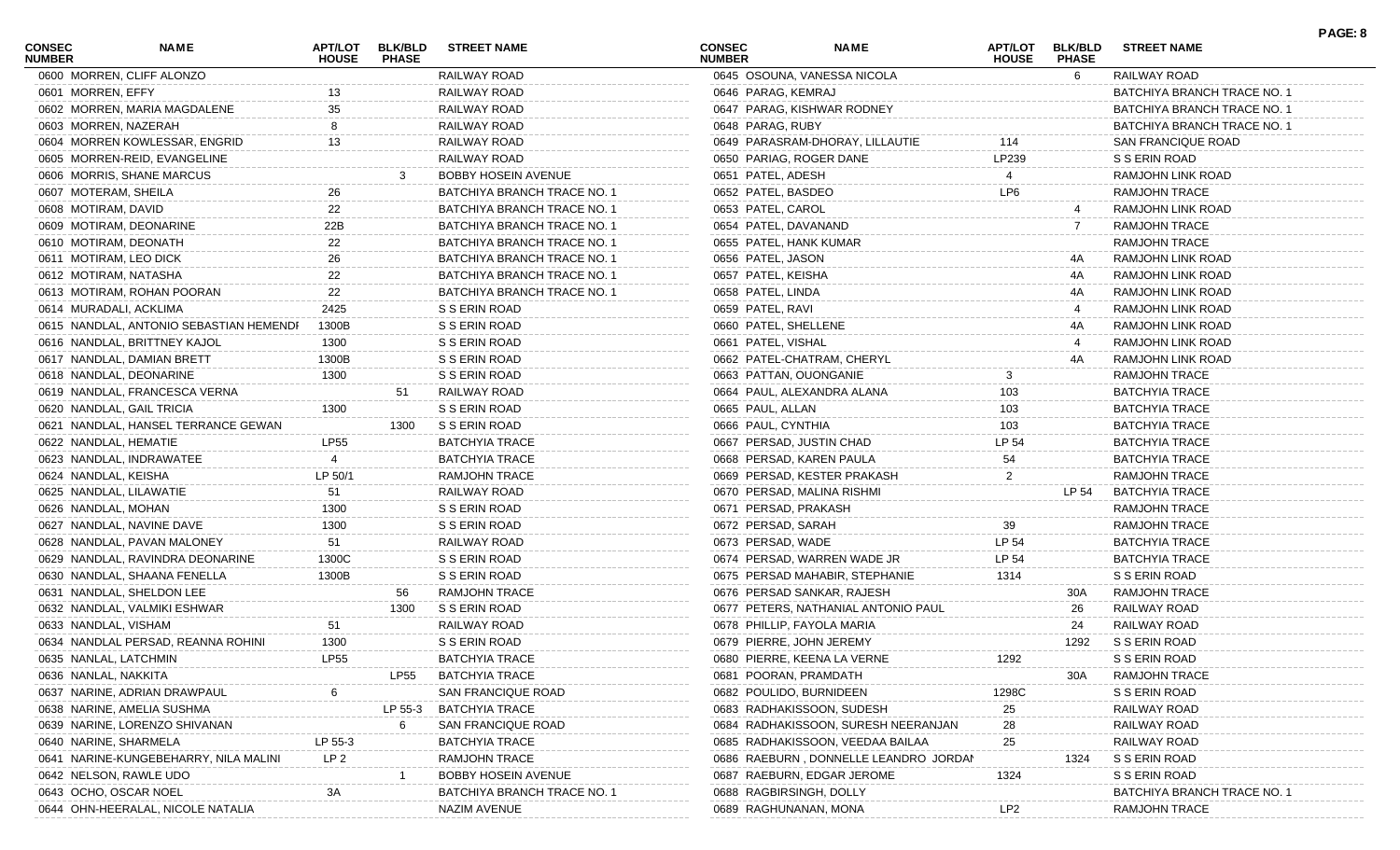| <b>CONSEC</b><br><b>NUMBER</b> | NAME                                    | <b>APT/LOT</b><br><b>HOUSE</b> | <b>BLK/BLD</b><br><b>PHASE</b> | <b>STREET NAME</b>          | <b>CONSEC</b><br><b>NUMBER</b> | <b>NAME</b>                           | APT/LOT<br><b>HOUSE</b> | <b>BLK/BLD</b><br><b>PHASE</b> | <b>STREET NAME</b>          | PAGE: 8 |
|--------------------------------|-----------------------------------------|--------------------------------|--------------------------------|-----------------------------|--------------------------------|---------------------------------------|-------------------------|--------------------------------|-----------------------------|---------|
|                                | 0600 MORREN, CLIFF ALONZO               |                                |                                | RAILWAY ROAD                |                                | 0645 OSOUNA, VANESSA NICOLA           |                         | 6.                             | RAILWAY ROAD                |         |
| 0601 MORREN, EFFY              |                                         | 13                             |                                | RAILWAY ROAD                | 0646 PARAG, KEMRAJ             |                                       |                         |                                | BATCHIYA BRANCH TRACE NO. 1 |         |
|                                | 0602 MORREN, MARIA MAGDALENE            | 35                             |                                | RAILWAY ROAD                |                                | 0647 PARAG, KISHWAR RODNEY            |                         |                                | BATCHIYA BRANCH TRACE NO. 1 |         |
|                                | 0603 MORREN, NAZERAH                    |                                |                                | RAILWAY ROAD                | 0648 PARAG, RUBY               |                                       |                         |                                | BATCHIYA BRANCH TRACE NO. 1 |         |
|                                | 0604 MORREN KOWLESSAR, ENGRID           | 13                             |                                | RAILWAY ROAD                |                                | 0649 PARASRAM-DHORAY, LILLAUTIE       | 114                     |                                | SAN FRANCIQUE ROAD          |         |
|                                | 0605 MORREN-REID, EVANGELINE            |                                |                                | RAILWAY ROAD                | 0650 PARIAG, ROGER DANE        |                                       | LP239                   |                                | S S ERIN ROAD               |         |
|                                | 0606 MORRIS, SHANE MARCUS               |                                |                                | <b>BOBBY HOSEIN AVENUE</b>  | 0651 PATEL, ADESH              |                                       |                         |                                | RAMJOHN LINK ROAD           |         |
|                                | 0607 MOTERAM, SHEILA                    | 26                             |                                | BATCHIYA BRANCH TRACE NO. 1 | 0652 PATEL, BASDEO             |                                       | LP <sub>6</sub>         |                                | RAMJOHN TRACE               |         |
| 0608 MOTIRAM, DAVID            |                                         | 22                             |                                | BATCHIYA BRANCH TRACE NO. 1 | 0653 PATEL, CAROL              |                                       |                         |                                | RAMJOHN LINK ROAD           |         |
|                                | 0609 MOTIRAM, DEONARINE                 | 22B                            |                                | BATCHIYA BRANCH TRACE NO. 1 | 0654 PATEL, DAVANAND           |                                       |                         |                                | <b>RAMJOHN TRACE</b>        |         |
|                                | 0610 MOTIRAM, DEONATH                   | 22                             |                                | BATCHIYA BRANCH TRACE NO. 1 | 0655 PATEL, HANK KUMAR         |                                       |                         |                                | <b>RAMJOHN TRACE</b>        |         |
|                                | 0611 MOTIRAM, LEO DICK                  | 26                             |                                | BATCHIYA BRANCH TRACE NO. 1 | 0656 PATEL, JASON              |                                       |                         |                                | RAMJOHN LINK ROAD           |         |
|                                | 0612 MOTIRAM, NATASHA                   | 22                             |                                | BATCHIYA BRANCH TRACE NO. 1 | 0657 PATEL, KEISHA             |                                       |                         | 4A                             | RAMJOHN LINK ROAD           |         |
|                                | 0613 MOTIRAM, ROHAN POORAN              | 22                             |                                | BATCHIYA BRANCH TRACE NO. 1 | 0658 PATEL, LINDA              |                                       |                         | 4A                             | RAMJOHN LINK ROAD           |         |
|                                | 0614 MURADALI, ACKLIMA                  | 2425                           |                                | S S ERIN ROAD               | 0659 PATEL, RAVI               |                                       |                         |                                | RAMJOHN LINK ROAD           |         |
|                                | 0615 NANDLAL, ANTONIO SEBASTIAN HEMENDI | 1300B                          |                                | S S ERIN ROAD               | 0660 PATEL, SHELLENE           |                                       |                         | 4A                             | RAMJOHN LINK ROAD           |         |
|                                | 0616 NANDLAL, BRITTNEY KAJOL            | 1300                           |                                | S S ERIN ROAD               | 0661 PATEL, VISHAL             |                                       |                         |                                | RAMJOHN LINK ROAD           |         |
|                                | 0617 NANDLAL, DAMIAN BRETT              | 1300B                          |                                | S S ERIN ROAD               |                                | 0662 PATEL-CHATRAM, CHERYL            |                         | 4A                             | RAMJOHN LINK ROAD           |         |
|                                | 0618 NANDLAL, DEONARINE                 | 1300                           |                                | S S ERIN ROAD               | 0663 PATTAN, OUONGANIE         |                                       |                         |                                | <b>RAMJOHN TRACE</b>        |         |
|                                | 0619 NANDLAL, FRANCESCA VERNA           |                                | 51                             | RAILWAY ROAD                |                                | 0664 PAUL, ALEXANDRA ALANA            | 103                     |                                | <b>BATCHYIA TRACE</b>       |         |
|                                | 0620 NANDLAL, GAIL TRICIA               | 1300                           |                                | S S ERIN ROAD               | 0665 PAUL, ALLAN               |                                       | 103                     |                                | <b>BATCHYIA TRACE</b>       |         |
|                                | 0621 NANDLAL, HANSEL TERRANCE GEWAN     |                                | 1300                           | S S ERIN ROAD               | 0666 PAUL, CYNTHIA             |                                       | 103                     |                                | <b>BATCHYIA TRACE</b>       |         |
|                                | 0622 NANDLAL, HEMATIE                   | <b>LP55</b>                    |                                | <b>BATCHYIA TRACE</b>       | 0667 PERSAD, JUSTIN CHAD       |                                       | LP 54                   |                                | <b>BATCHYIA TRACE</b>       |         |
|                                | 0623 NANDLAL, INDRAWATEE                |                                |                                | <b>BATCHYIA TRACE</b>       |                                | 0668 PERSAD, KAREN PAULA              | 54                      |                                | <b>BATCHYIA TRACE</b>       |         |
| 0624 NANDLAL, KEISHA           |                                         | LP 50/1                        |                                | RAMJOHN TRACE               |                                | 0669 PERSAD, KESTER PRAKASH           | 2                       |                                | <b>RAMJOHN TRACE</b>        |         |
|                                | 0625 NANDLAL, LILAWATIE                 | 51                             |                                | RAILWAY ROAD                |                                | 0670 PERSAD, MALINA RISHMI            |                         | LP 54                          | BATCHYIA TRACE              |         |
| 0626 NANDLAL, MOHAN            |                                         | 1300                           |                                | S S ERIN ROAD               | 0671 PERSAD, PRAKASH           |                                       |                         |                                | RAMJOHN TRACE               |         |
|                                | 0627 NANDLAL, NAVINE DAVE               | 1300                           |                                | S S ERIN ROAD               | 0672 PERSAD, SARAH             |                                       | 39                      |                                | <b>RAMJOHN TRACE</b>        |         |
|                                | 0628 NANDLAL, PAVAN MALONEY             | 51                             |                                | RAILWAY ROAD                | 0673 PERSAD, WADE              |                                       | LP 54                   |                                | <b>BATCHYIA TRACE</b>       |         |
|                                | 0629 NANDLAL, RAVINDRA DEONARINE        | 1300C                          |                                | S S ERIN ROAD               |                                | 0674 PERSAD, WARREN WADE JR           | LP 54                   |                                | <b>BATCHYIA TRACE</b>       |         |
|                                | 0630 NANDLAL, SHAANA FENELLA            | 1300B                          |                                | S S ERIN ROAD               |                                | 0675 PERSAD MAHABIR, STEPHANIE        | 1314                    |                                | S S ERIN ROAD               |         |
|                                | 0631 NANDLAL, SHELDON LEE               |                                | 56                             | <b>RAMJOHN TRACE</b>        |                                | 0676 PERSAD SANKAR, RAJESH            |                         | 30A                            | <b>RAMJOHN TRACE</b>        |         |
|                                | 0632 NANDLAL, VALMIKI ESHWAR            |                                | 1300                           | S S ERIN ROAD               |                                | 0677 PETERS, NATHANIAL ANTONIO PAUL   |                         | 26                             | RAILWAY ROAD                |         |
|                                | 0633 NANDLAL, VISHAM                    | 51                             |                                | RAILWAY ROAD                |                                | 0678 PHILLIP, FAYOLA MARIA            |                         | 24                             | RAILWAY ROAD                |         |
|                                |                                         | 1300                           |                                |                             |                                |                                       |                         |                                |                             |         |
|                                | 0634 NANDLAL PERSAD, REANNA ROHINI      | <b>LP55</b>                    |                                | S S ERIN ROAD               | 0679 PIERRE, JOHN JEREMY       |                                       |                         | 1292                           | S S ERIN ROAD               |         |
|                                | 0635 NANLAL, LATCHMIN                   |                                |                                | <b>BATCHYIA TRACE</b>       |                                | 0680 PIERRE, KEENA LA VERNE           | 1292                    |                                | S S ERIN ROAD               |         |
| 0636 NANLAL, NAKKITA           |                                         |                                | LP55                           | <b>BATCHYIA TRACE</b>       | 0681 POORAN, PRAMDATH          |                                       |                         | 30A                            | RAMJOHN TRACE               |         |
|                                | 0637 NARINE, ADRIAN DRAWPAUL            |                                |                                | SAN FRANCIQUE ROAD          | 0682 POULIDO, BURNIDEEN        |                                       | 1298C                   |                                | S S ERIN ROAD               |         |
|                                | 0638 NARINE, AMELIA SUSHMA              |                                | LP 55-3                        | <b>BATCHYIA TRACE</b>       |                                | 0683 RADHAKISSOON, SUDESH             | 25                      |                                | RAILWAY ROAD                |         |
|                                | 0639 NARINE, LORENZO SHIVANAN           |                                | - 6                            | SAN FRANCIQUE ROAD          |                                | 0684 RADHAKISSOON, SURESH NEERANJAN   | 28                      |                                | RAILWAY ROAD                |         |
|                                | 0640 NARINE, SHARMELA                   | LP 55-3                        |                                | <b>BATCHYIA TRACE</b>       |                                | 0685 RADHAKISSOON, VEEDAA BAILAA      | 25                      |                                | RAILWAY ROAD                |         |
|                                | 0641 NARINE-KUNGEBEHARRY, NILA MALINI   | LP 2                           |                                | <b>RAMJOHN TRACE</b>        |                                | 0686 RAEBURN, DONNELLE LEANDRO JORDAN |                         | 1324                           | S S ERIN ROAD               |         |
|                                | 0642 NELSON, RAWLE UDO                  |                                |                                | <b>BOBBY HOSEIN AVENUE</b>  |                                | 0687 RAEBURN, EDGAR JEROME            | 1324                    |                                | S S ERIN ROAD               |         |
|                                | 0643 OCHO, OSCAR NOEL                   | ЗΑ                             |                                | BATCHIYA BRANCH TRACE NO. 1 | 0688 RAGBIRSINGH, DOLLY        |                                       |                         |                                | BATCHIYA BRANCH TRACE NO.   |         |
|                                | 0644 OHN-HEERALAL, NICOLE NATALIA       |                                |                                | NAZIM AVENUE                | 0689 RAGHUNANAN, MONA          |                                       | LP2                     |                                | RAMJOHN TRACE               |         |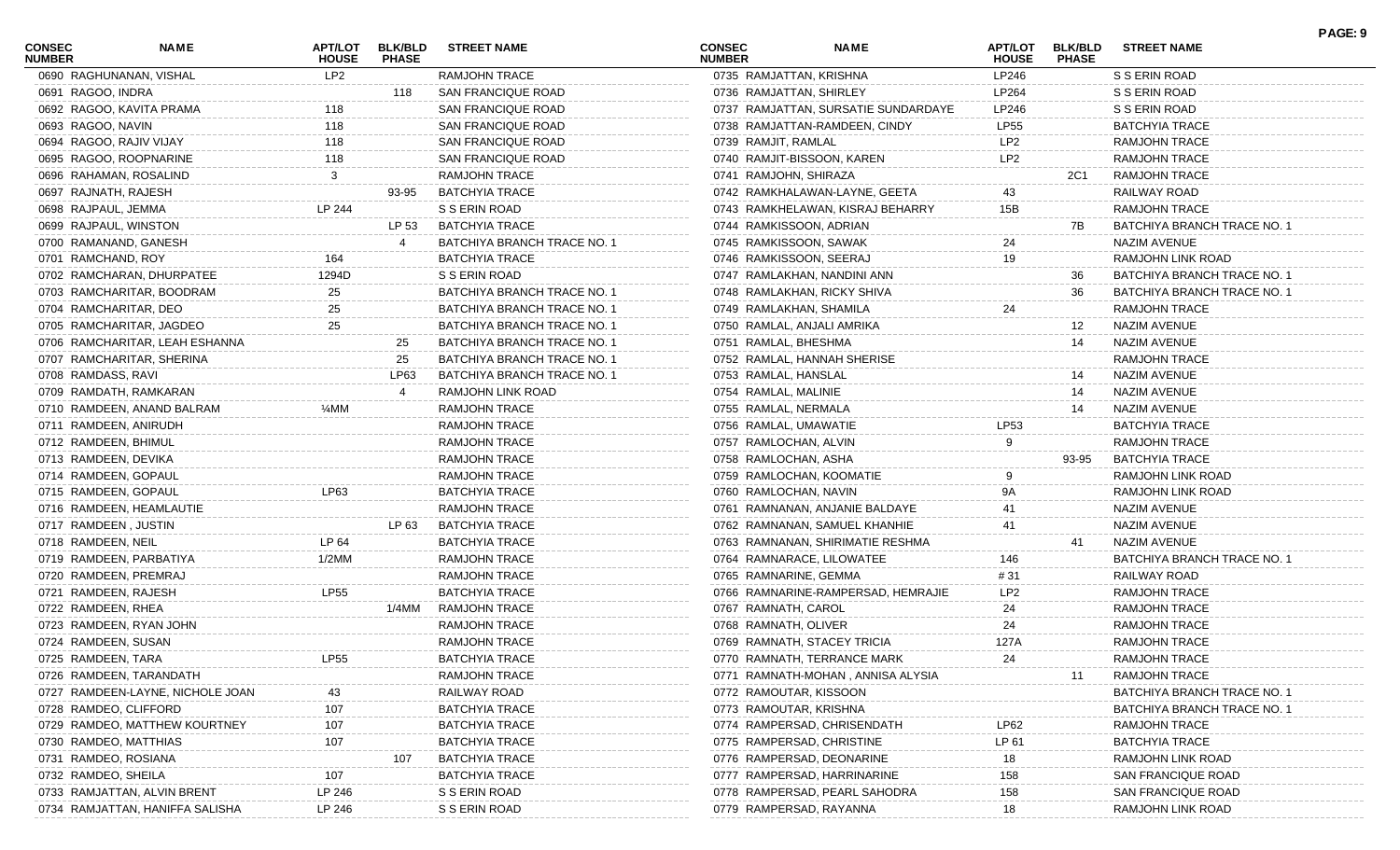| <b>CONSEC</b><br><b>NUMBER</b> | <b>NAME</b>                      | APT/LOT<br><b>HOUSE</b> | <b>BLK/BLD</b><br><b>PHASE</b> | <b>STREET NAME</b>          | <b>CONSEC</b><br><b>NUMBER</b> | <b>NAME</b>                         | <b>APT/LOT</b><br><b>HOUSE</b> | <b>BLK/BLD</b><br><b>PHASE</b> | <b>STREET NAME</b>          | PAGE: 9 |
|--------------------------------|----------------------------------|-------------------------|--------------------------------|-----------------------------|--------------------------------|-------------------------------------|--------------------------------|--------------------------------|-----------------------------|---------|
|                                | 0690 RAGHUNANAN, VISHAL          | LP2                     |                                | <b>RAMJOHN TRACE</b>        | 0735 RAMJATTAN, KRISHNA        |                                     | LP246                          |                                | S S ERIN ROAD               |         |
| 0691 RAGOO, INDRA              |                                  |                         | 118                            | SAN FRANCIQUE ROAD          | 0736 RAMJATTAN, SHIRLEY        |                                     | LP264                          |                                | S S ERIN ROAD               |         |
|                                | 0692 RAGOO, KAVITA PRAMA         | 118                     |                                | SAN FRANCIQUE ROAD          |                                | 0737 RAMJATTAN, SURSATIE SUNDARDAYE | LP246                          |                                | S S ERIN ROAD               |         |
| 0693 RAGOO, NAVIN              |                                  | 118                     |                                | SAN FRANCIQUE ROAD          |                                | 0738 RAMJATTAN-RAMDEEN, CINDY       | LP55                           |                                | <b>BATCHYIA TRACE</b>       |         |
|                                | 0694 RAGOO, RAJIV VIJAY          | 118                     |                                | SAN FRANCIQUE ROAD          | 0739 RAMJIT, RAMLAL            |                                     | LP2                            |                                | <b>RAMJOHN TRACE</b>        |         |
|                                | 0695 RAGOO, ROOPNARINE           | 118                     |                                | SAN FRANCIQUE ROAD          |                                | 0740 RAMJIT-BISSOON, KAREN          | LP <sub>2</sub>                |                                | <b>RAMJOHN TRACE</b>        |         |
|                                | 0696 RAHAMAN, ROSALIND           | 3                       |                                | <b>RAMJOHN TRACE</b>        | 0741 RAMJOHN, SHIRAZA          |                                     |                                | 2C1                            | <b>RAMJOHN TRACE</b>        |         |
| 0697 RAJNATH, RAJESH           |                                  |                         | 93-95                          | BATCHYIA TRACE              |                                | 0742 RAMKHALAWAN-LAYNE, GEETA       | 43                             |                                | RAILWAY ROAD                |         |
| 0698 RAJPAUL, JEMMA            |                                  | LP 244                  |                                | S S ERIN ROAD               |                                | 0743 RAMKHELAWAN, KISRAJ BEHARRY    | 15B                            |                                | <b>RAMJOHN TRACE</b>        |         |
|                                | 0699 RAJPAUL, WINSTON            |                         | LP 53                          | BATCHYIA TRACE              | 0744 RAMKISSOON, ADRIAN        |                                     |                                | 7В                             | BATCHIYA BRANCH TRACE NO. 1 |         |
|                                | 0700 RAMANAND, GANESH            |                         |                                | BATCHIYA BRANCH TRACE NO. 1 | 0745 RAMKISSOON, SAWAK         |                                     | 24                             |                                | NAZIM AVENUE                |         |
| 0701 RAMCHAND, ROY             |                                  | 164                     |                                | <b>BATCHYIA TRACE</b>       |                                | 0746 RAMKISSOON, SEERAJ             | 19                             |                                | RAMJOHN LINK ROAD           |         |
|                                | 0702 RAMCHARAN, DHURPATEE        | 1294D                   |                                | S S ERIN ROAD               |                                | 0747 RAMLAKHAN, NANDINI ANN         |                                | 36                             | BATCHIYA BRANCH TRACE NO. 1 |         |
|                                | 0703 RAMCHARITAR, BOODRAM        | 25                      |                                | BATCHIYA BRANCH TRACE NO. 1 |                                | 0748 RAMLAKHAN, RICKY SHIVA         |                                | 36                             | BATCHIYA BRANCH TRACE NO. 1 |         |
|                                | 0704 RAMCHARITAR, DEO            | 25                      |                                | BATCHIYA BRANCH TRACE NO. 1 | 0749 RAMLAKHAN, SHAMILA        |                                     | 24                             |                                | <b>RAMJOHN TRACE</b>        |         |
|                                | 0705 RAMCHARITAR, JAGDEO         | 25                      |                                | BATCHIYA BRANCH TRACE NO. 1 |                                | 0750 RAMLAL, ANJALI AMRIKA          |                                | 12                             | NAZIM AVENUE                |         |
|                                | 0706 RAMCHARITAR, LEAH ESHANNA   |                         | 25                             | BATCHIYA BRANCH TRACE NO. 1 | 0751 RAMLAL, BHESHMA           |                                     |                                | 14                             | NAZIM AVENUE                |         |
|                                | 0707 RAMCHARITAR, SHERINA        |                         | 25                             | BATCHIYA BRANCH TRACE NO. 1 |                                | 0752 RAMLAL, HANNAH SHERISE         |                                |                                | <b>RAMJOHN TRACE</b>        |         |
| 0708 RAMDASS, RAVI             |                                  |                         | LP63                           | BATCHIYA BRANCH TRACE NO. 1 | 0753 RAMLAL, HANSLAL           |                                     |                                | 14                             | NAZIM AVENUE                |         |
|                                | 0709 RAMDATH, RAMKARAN           |                         |                                | RAMJOHN LINK ROAD           | 0754 RAMLAL, MALINIE           |                                     |                                | 14                             | NAZIM AVENUE                |         |
|                                | 0710 RAMDEEN, ANAND BALRAM       | ¼MM                     |                                | <b>RAMJOHN TRACE</b>        | 0755 RAMLAL, NERMALA           |                                     |                                | 14                             | NAZIM AVENUE                |         |
|                                | 0711 RAMDEEN, ANIRUDH            |                         |                                | <b>RAMJOHN TRACE</b>        | 0756 RAMLAL, UMAWATIE          |                                     | LP53                           |                                | <b>BATCHYIA TRACE</b>       |         |
| 0712 RAMDEEN, BHIMUL           |                                  |                         |                                | <b>RAMJOHN TRACE</b>        | 0757 RAMLOCHAN, ALVIN          |                                     | 9                              |                                | <b>RAMJOHN TRACE</b>        |         |
| 0713 RAMDEEN, DEVIKA           |                                  |                         |                                | <b>RAMJOHN TRACE</b>        | 0758 RAMLOCHAN, ASHA           |                                     |                                | 93-95                          | <b>BATCHYIA TRACE</b>       |         |
|                                | 0714 RAMDEEN, GOPAUL             |                         |                                | RAMJOHN TRACE               |                                | 0759 RAMLOCHAN, KOOMATIE            |                                |                                | RAMJOHN LINK ROAD           |         |
|                                |                                  | LP63                    |                                |                             |                                |                                     | 9A                             |                                |                             |         |
|                                | 0715 RAMDEEN, GOPAUL             |                         |                                | <b>BATCHYIA TRACE</b>       | 0760 RAMLOCHAN, NAVIN          |                                     |                                |                                | RAMJOHN LINK ROAD           |         |
|                                | 0716 RAMDEEN, HEAMLAUTIE         |                         |                                | <b>RAMJOHN TRACE</b>        |                                | 0761 RAMNANAN, ANJANIE BALDAYE      | 41                             |                                | NAZIM AVENUE                |         |
| 0717 RAMDEEN, JUSTIN           |                                  |                         | LP 63                          | BATCHYIA TRACE              |                                | 0762 RAMNANAN, SAMUEL KHANHIE       | 41                             |                                | NAZIM AVENUE                |         |
| 0718 RAMDEEN, NEIL             |                                  | LP 64                   |                                | <b>BATCHYIA TRACE</b>       |                                | 0763 RAMNANAN, SHIRIMATIE RESHMA    |                                | 41                             | NAZIM AVENUE                |         |
|                                | 0719 RAMDEEN, PARBATIYA          | 1/2MM                   |                                | <b>RAMJOHN TRACE</b>        |                                | 0764 RAMNARACE, LILOWATEE           | 146                            |                                | BATCHIYA BRANCH TRACE NO. 1 |         |
|                                | 0720 RAMDEEN, PREMRAJ            |                         |                                | <b>RAMJOHN TRACE</b>        | 0765 RAMNARINE, GEMMA          |                                     | # 31                           |                                | RAILWAY ROAD                |         |
|                                | 0721 RAMDEEN, RAJESH             | <b>LP55</b>             |                                | <b>BATCHYIA TRACE</b>       |                                | 0766 RAMNARINE-RAMPERSAD, HEMRAJIE  | LP2                            |                                | RAMJOHN TRACE               |         |
| 0722 RAMDEEN, RHEA             |                                  |                         | 1/4MM                          | <b>RAMJOHN TRACE</b>        | 0767 RAMNATH, CAROL            |                                     | 24                             |                                | RAMJOHN TRACE               |         |
|                                | 0723 RAMDEEN, RYAN JOHN          |                         |                                | RAMJOHN TRACE               | 0768 RAMNATH, OLIVER           |                                     | 24                             |                                | RAMJOHN TRACE               |         |
| 0724 RAMDEEN, SUSAN            |                                  |                         |                                | RAMJOHN TRACE               |                                | 0769 RAMNATH, STACEY TRICIA         | 127A                           |                                | RAMJOHN TRACE               |         |
| 0725 RAMDEEN, TARA             |                                  | <b>LP55</b>             |                                | <b>BATCHYIA TRACE</b>       |                                | 0770 RAMNATH, TERRANCE MARK         | 24                             |                                | RAMJOHN TRACE               |         |
|                                | 0726 RAMDEEN, TARANDATH          |                         |                                | <b>RAMJOHN TRACE</b>        |                                | 0771 RAMNATH-MOHAN, ANNISA ALYSIA   |                                | 11                             | <b>RAMJOHN TRACE</b>        |         |
|                                | 0727 RAMDEEN-LAYNE, NICHOLE JOAN | 43                      |                                | RAILWAY ROAD                | 0772 RAMOUTAR, KISSOON         |                                     |                                |                                | BATCHIYA BRANCH TRACE NO.   |         |
|                                | 0728 RAMDEO, CLIFFORD            | 107                     |                                | <b>BATCHYIA TRACE</b>       | 0773 RAMOUTAR, KRISHNA         |                                     |                                |                                | BATCHIYA BRANCH TRACE NO.   |         |
|                                | 0729 RAMDEO, MATTHEW KOURTNEY    | 107                     |                                | <b>BATCHYIA TRACE</b>       |                                | 0774 RAMPERSAD, CHRISENDATH         | LP62                           |                                | RAMJOHN TRACE               |         |
|                                | 0730 RAMDEO, MATTHIAS            | 107                     |                                | <b>BATCHYIA TRACE</b>       |                                | 0775 RAMPERSAD, CHRISTINE           | LP 61                          |                                | <b>BATCHYIA TRACE</b>       |         |
|                                | 0731 RAMDEO, ROSIANA             |                         | 107                            | <b>BATCHYIA TRACE</b>       |                                | 0776 RAMPERSAD, DEONARINE           | 18                             |                                | RAMJOHN LINK ROAD           |         |
| 0732 RAMDEO, SHEILA            |                                  | 107                     |                                | <b>BATCHYIA TRACE</b>       |                                | 0777 RAMPERSAD, HARRINARINE         | 158                            |                                | SAN FRANCIQUE ROAD          |         |
|                                | 0733 RAMJATTAN, ALVIN BRENT      | LP 246                  |                                | S S ERIN ROAD               |                                | 0778 RAMPERSAD, PEARL SAHODRA       | 158                            |                                | SAN FRANCIQUE ROAD          |         |
|                                | 0734 RAMJATTAN, HANIFFA SALISHA  | LP 246                  |                                | S S ERIN ROAD               |                                | 0779 RAMPERSAD, RAYANNA             | 18                             |                                | RAMJOHN LINK ROAD           |         |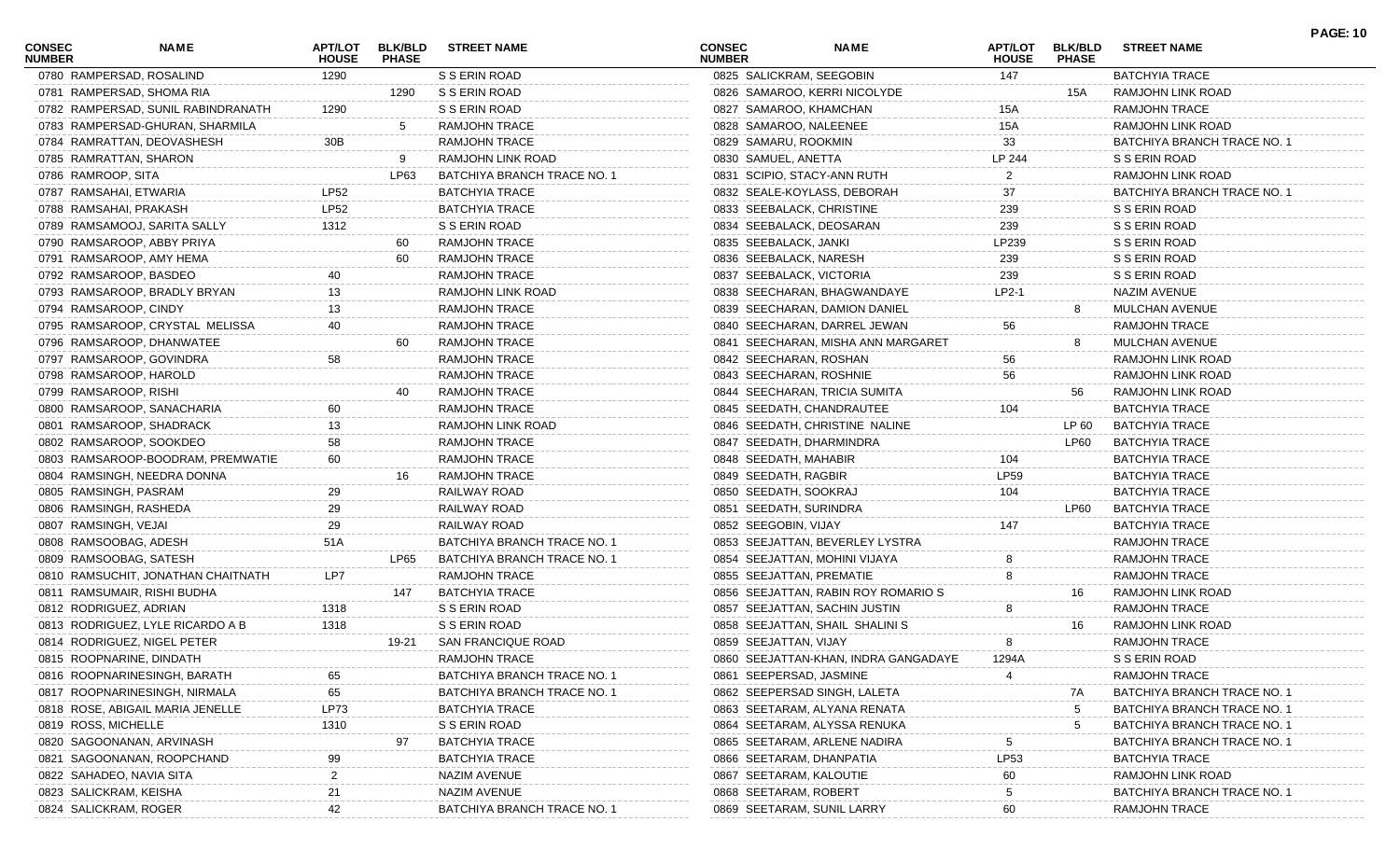| <b>CONSEC</b><br><b>NUMBER</b> | NAME                                                       | <b>APT/LOT</b><br><b>HOUSE</b> | <b>BLK/BLD</b><br><b>PHASE</b> | <b>STREET NAME</b>                  | <b>CONSEC</b><br><b>NUMBER</b> | <b>NAME</b>                          | APT/LOT<br><b>HOUSE</b> | <b>BLK/BLD</b><br><b>PHASE</b> | <b>STREET NAME</b>          | <b>PAGE: 10</b> |
|--------------------------------|------------------------------------------------------------|--------------------------------|--------------------------------|-------------------------------------|--------------------------------|--------------------------------------|-------------------------|--------------------------------|-----------------------------|-----------------|
|                                | 0780 RAMPERSAD, ROSALIND                                   | 1290                           |                                | S S ERIN ROAD                       |                                | 0825 SALICKRAM, SEEGOBIN             | 147                     |                                | <b>BATCHYIA TRACE</b>       |                 |
|                                | 0781 RAMPERSAD, SHOMA RIA                                  |                                | 1290                           | S S ERIN ROAD                       |                                | 0826 SAMAROO, KERRI NICOLYDE         |                         | 15A                            | RAMJOHN LINK ROAD           |                 |
|                                | 0782 RAMPERSAD, SUNIL RABINDRANATH                         | 1290                           |                                | S S ERIN ROAD                       |                                | 0827 SAMAROO, KHAMCHAN               | 15A                     |                                | <b>RAMJOHN TRACE</b>        |                 |
|                                | 0783 RAMPERSAD-GHURAN, SHARMILA                            |                                | -5                             | <b>RAMJOHN TRACE</b>                |                                | 0828 SAMAROO, NALEENEE               | 15A                     |                                | RAMJOHN LINK ROAD           |                 |
|                                | 0784 RAMRATTAN, DEOVASHESH                                 | 30B                            |                                | <b>RAMJOHN TRACE</b>                | 0829 SAMARU, ROOKMIN           |                                      | 33                      |                                | BATCHIYA BRANCH TRACE NO. 1 |                 |
|                                | 0785 RAMRATTAN, SHARON                                     |                                | -9                             | RAMJOHN LINK ROAD                   | 0830 SAMUEL, ANETTA            |                                      | LP 244                  |                                | S S ERIN ROAD               |                 |
| 0786 RAMROOP, SITA             |                                                            |                                | LP63                           | BATCHIYA BRANCH TRACE NO. 1         |                                | 0831 SCIPIO, STACY-ANN RUTH          | 2                       |                                | RAMJOHN LINK ROAD           |                 |
|                                | 0787 RAMSAHAI, ETWARIA                                     | <b>LP52</b>                    |                                | <b>BATCHYIA TRACE</b>               |                                | 0832 SEALE-KOYLASS, DEBORAH          | 37                      |                                | BATCHIYA BRANCH TRACE NO. 1 |                 |
|                                | 0788 RAMSAHAI, PRAKASH                                     | <b>LP52</b>                    |                                | <b>BATCHYIA TRACE</b>               |                                | 0833 SEEBALACK, CHRISTINE            | 239                     |                                | S S ERIN ROAD               |                 |
|                                | 0789 RAMSAMOOJ, SARITA SALLY                               | 1312                           |                                | S S ERIN ROAD                       |                                | 0834 SEEBALACK, DEOSARAN             | 239                     |                                | S S ERIN ROAD               |                 |
|                                | 0790 RAMSAROOP, ABBY PRIYA                                 |                                | 60                             | RAMJOHN TRACE                       | 0835 SEEBALACK, JANKI          |                                      | LP239                   |                                | S S ERIN ROAD               |                 |
|                                | 0791 RAMSAROOP, AMY HEMA                                   |                                | 60                             | <b>RAMJOHN TRACE</b>                |                                | 0836 SEEBALACK, NARESH               | 239                     |                                | S S ERIN ROAD               |                 |
|                                | 0792 RAMSAROOP, BASDEO                                     |                                |                                | <b>RAMJOHN TRACE</b>                |                                | 0837 SEEBALACK, VICTORIA             | 239                     |                                | S S ERIN ROAD               |                 |
|                                | 0793 RAMSAROOP, BRADLY BRYAN                               | 13                             |                                | RAMJOHN LINK ROAD                   |                                | 0838 SEECHARAN, BHAGWANDAYE          | $LP2-1$                 |                                | NAZIM AVENUE                |                 |
| 0794 RAMSAROOP, CINDY          |                                                            | 13                             |                                | <b>RAMJOHN TRACE</b>                |                                | 0839 SEECHARAN, DAMION DANIEL        |                         | 8                              | MULCHAN AVENUE              |                 |
|                                | 0795 RAMSAROOP, CRYSTAL MELISSA                            | 40                             |                                | RAMJOHN TRACE                       |                                | 0840 SEECHARAN, DARREL JEWAN         | 56                      |                                | <b>RAMJOHN TRACE</b>        |                 |
|                                | 0796 RAMSAROOP, DHANWATEE                                  |                                | 60                             | RAMJOHN TRACE                       |                                | 0841 SEECHARAN, MISHA ANN MARGARET   |                         | 8.                             | MULCHAN AVENUE              |                 |
|                                | 0797 RAMSAROOP, GOVINDRA                                   | 58                             |                                | <b>RAMJOHN TRACE</b>                |                                | 0842 SEECHARAN, ROSHAN               | 56                      |                                | RAMJOHN LINK ROAD           |                 |
|                                | 0798 RAMSAROOP, HAROLD                                     |                                |                                | <b>RAMJOHN TRACE</b>                |                                | 0843 SEECHARAN, ROSHNIE              | 56                      |                                | RAMJOHN LINK ROAD           |                 |
| 0799 RAMSAROOP, RISHI          |                                                            |                                |                                | RAMJOHN TRACE                       |                                | 0844 SEECHARAN, TRICIA SUMITA        |                         | 56                             | RAMJOHN LINK ROAD           |                 |
|                                | 0800 RAMSAROOP, SANACHARIA                                 | 60                             |                                | RAMJOHN TRACE                       |                                | 0845 SEEDATH, CHANDRAUTEE            | 104                     |                                | <b>BATCHYIA TRACE</b>       |                 |
|                                | 0801 RAMSAROOP, SHADRACK                                   | 13                             |                                | RAMJOHN LINK ROAD                   |                                | 0846 SEEDATH, CHRISTINE NALINE       |                         | LP 60                          | <b>BATCHYIA TRACE</b>       |                 |
|                                | 0802 RAMSAROOP, SOOKDEO                                    | 58                             |                                | <b>RAMJOHN TRACE</b>                |                                | 0847 SEEDATH, DHARMINDRA             |                         | LP60                           | <b>BATCHYIA TRACE</b>       |                 |
|                                | 0803 RAMSAROOP-BOODRAM, PREMWATIE                          | 60                             |                                | <b>RAMJOHN TRACE</b>                | 0848 SEEDATH, MAHABIR          |                                      | 104                     |                                | <b>BATCHYIA TRACE</b>       |                 |
|                                | 0804 RAMSINGH, NEEDRA DONNA                                |                                | 16.                            | <b>RAMJOHN TRACE</b>                | 0849 SEEDATH, RAGBIR           |                                      | <b>LP59</b>             |                                | <b>BATCHYIA TRACE</b>       |                 |
| 0805 RAMSINGH, PASRAM          |                                                            | 29                             |                                | RAILWAY ROAD                        | 0850 SEEDATH, SOOKRAJ          |                                      | 104                     |                                | <b>BATCHYIA TRACE</b>       |                 |
|                                | 0806 RAMSINGH, RASHEDA                                     | 29                             |                                | RAILWAY ROAD                        | 0851 SEEDATH, SURINDRA         |                                      |                         | LP60                           | <b>BATCHYIA TRACE</b>       |                 |
| 0807 RAMSINGH, VEJAI           |                                                            | 29                             |                                | RAILWAY ROAD                        | 0852 SEEGOBIN, VIJAY           |                                      | 147                     |                                | <b>BATCHYIA TRACE</b>       |                 |
|                                | 0808 RAMSOOBAG, ADESH                                      | 51A                            |                                | BATCHIYA BRANCH TRACE NO. 1         |                                | 0853 SEEJATTAN, BEVERLEY LYSTRA      |                         |                                | <b>RAMJOHN TRACE</b>        |                 |
|                                | 0809 RAMSOOBAG, SATESH                                     |                                | LP65                           | BATCHIYA BRANCH TRACE NO. 1         |                                | 0854 SEEJATTAN, MOHINI VIJAYA        |                         |                                | <b>RAMJOHN TRACE</b>        |                 |
|                                | 0810 RAMSUCHIT, JONATHAN CHAITNATH                         | LP7                            |                                | <b>RAMJOHN TRACE</b>                |                                | 0855 SEEJATTAN, PREMATIE             |                         |                                | <b>RAMJOHN TRACE</b>        |                 |
|                                |                                                            |                                |                                |                                     |                                |                                      |                         |                                | RAMJOHN LINK ROAD           |                 |
|                                | 0811 RAMSUMAIR, RISHI BUDHA                                | 1318                           | 147                            | <b>BATCHYIA TRACE</b>               |                                | 0856 SEEJATTAN, RABIN ROY ROMARIO S  | 8                       | 16                             | <b>RAMJOHN TRACE</b>        |                 |
|                                | 0812 RODRIGUEZ, ADRIAN<br>0813 RODRIGUEZ, LYLE RICARDO A B |                                |                                | S S ERIN ROAD                       |                                | 0857 SEEJATTAN, SACHIN JUSTIN        |                         |                                | RAMJOHN LINK ROAD           |                 |
|                                | 0814 RODRIGUEZ, NIGEL PETER                                | 1318                           |                                | S S ERIN ROAD<br>SAN FRANCIQUE ROAD |                                | 0858 SEEJATTAN, SHAIL SHALINI S      | 8                       | 16                             | RAMJOHN TRACE               |                 |
|                                |                                                            |                                | 19-21                          |                                     | 0859 SEEJATTAN, VIJAY          |                                      |                         |                                |                             |                 |
|                                | 0815 ROOPNARINE, DINDATH                                   |                                |                                | <b>RAMJOHN TRACE</b>                |                                | 0860 SEEJATTAN-KHAN, INDRA GANGADAYE | 1294A                   |                                | S S ERIN ROAD               |                 |
|                                | 0816 ROOPNARINESINGH, BARATH                               |                                |                                | BATCHIYA BRANCH TRACE NO. 1         |                                | 0861 SEEPERSAD, JASMINE              |                         |                                | RAMJOHN TRACE               |                 |
|                                | 0817 ROOPNARINESINGH, NIRMALA                              | 65                             |                                | BATCHIYA BRANCH TRACE NO. 1         |                                | 0862 SEEPERSAD SINGH, LALETA         |                         | 7A                             | BATCHIYA BRANCH TRACE NO.   |                 |
|                                | 0818 ROSE, ABIGAIL MARIA JENELLE                           | LP73                           |                                | <b>BATCHYIA TRACE</b>               |                                | 0863 SEETARAM, ALYANA RENATA         |                         | 5                              | BATCHIYA BRANCH TRACE NO. 1 |                 |
| 0819 ROSS, MICHELLE            |                                                            | 1310                           |                                | S S ERIN ROAD                       |                                | 0864 SEETARAM, ALYSSA RENUKA         |                         | 5                              | BATCHIYA BRANCH TRACE NO. 1 |                 |
|                                | 0820 SAGOONANAN, ARVINASH                                  |                                | 97                             | <b>BATCHYIA TRACE</b>               |                                | 0865 SEETARAM, ARLENE NADIRA         | 5                       |                                | BATCHIYA BRANCH TRACE NO. 1 |                 |
|                                | 0821 SAGOONANAN, ROOPCHAND                                 | 99                             |                                | <b>BATCHYIA TRACE</b>               |                                | 0866 SEETARAM, DHANPATIA             | LP53                    |                                | <b>BATCHYIA TRACE</b>       |                 |
|                                | 0822 SAHADEO, NAVIA SITA                                   |                                |                                | NAZIM AVENUE                        |                                | 0867 SEETARAM, KALOUTIE              | 60                      |                                | RAMJOHN LINK ROAD           |                 |
| 0823 SALICKRAM, KEISHA         |                                                            | 21                             |                                | NAZIM AVENUE                        | 0868 SEETARAM, ROBERT          |                                      | 5                       |                                | BATCHIYA BRANCH TRACE NO.   |                 |
| 0824 SALICKRAM, ROGER          |                                                            | 42                             |                                | BATCHIYA BRANCH TRACE NO. 1         |                                | 0869 SEETARAM, SUNIL LARRY           | 60                      |                                | RAMJOHN TRACE               |                 |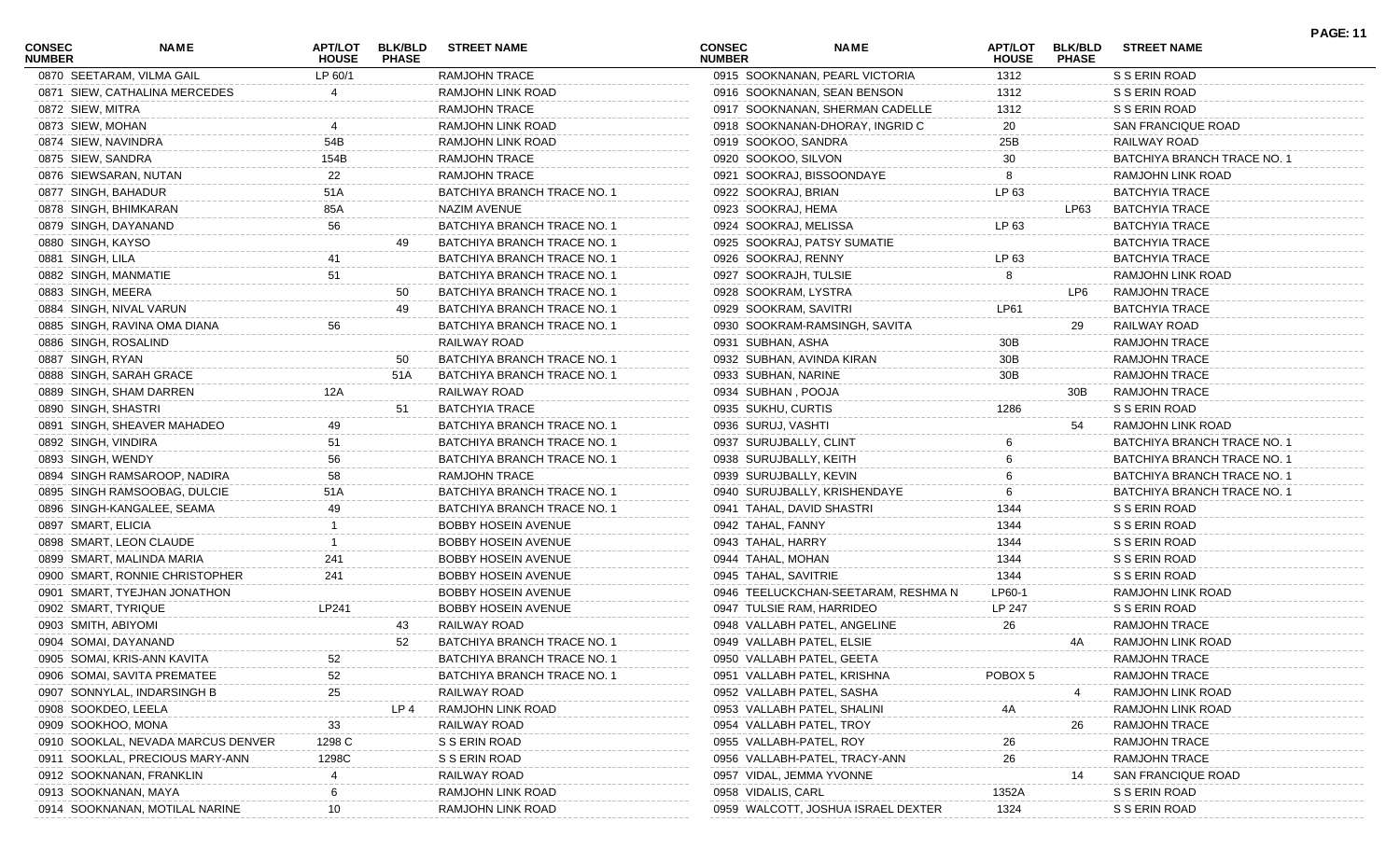| <b>CONSEC</b><br><b>NUMBER</b> | <b>NAME</b>                        | APT/LOT<br><b>HOUSE</b> | <b>BLK/BLD</b><br><b>PHASE</b> | <b>STREET NAME</b>          | <b>CONSEC</b><br><b>NUMBER</b> | <b>NAME</b>                         | <b>APT/LOT</b><br><b>HOUSE</b> | <b>BLK/BLD</b><br><b>PHASE</b> | <b>STREET NAME</b>          | <b>PAGE: 11</b> |
|--------------------------------|------------------------------------|-------------------------|--------------------------------|-----------------------------|--------------------------------|-------------------------------------|--------------------------------|--------------------------------|-----------------------------|-----------------|
|                                | 0870 SEETARAM, VILMA GAIL          | LP 60/1                 |                                | <b>RAMJOHN TRACE</b>        |                                | 0915 SOOKNANAN, PEARL VICTORIA      | 1312                           |                                | S S ERIN ROAD               |                 |
|                                | 0871 SIEW, CATHALINA MERCEDES      |                         |                                | RAMJOHN LINK ROAD           |                                | 0916 SOOKNANAN, SEAN BENSON         | 1312                           |                                | S S ERIN ROAD               |                 |
| 0872 SIEW, MITRA               |                                    |                         |                                | RAMJOHN TRACE               |                                | 0917 SOOKNANAN, SHERMAN CADELLE     | 1312                           |                                | S S ERIN ROAD               |                 |
| 0873 SIEW, MOHAN               |                                    |                         |                                | RAMJOHN LINK ROAD           |                                | 0918 SOOKNANAN-DHORAY, INGRID C     | 20                             |                                | <b>SAN FRANCIQUE ROAD</b>   |                 |
| 0874 SIEW, NAVINDRA            |                                    | 54B                     |                                | RAMJOHN LINK ROAD           | 0919 SOOKOO, SANDRA            |                                     | 25B                            |                                | RAILWAY ROAD                |                 |
| 0875 SIEW, SANDRA              |                                    | 154B                    |                                | RAMJOHN TRACE               | 0920 SOOKOO, SILVON            |                                     | 30                             |                                | BATCHIYA BRANCH TRACE NO. 1 |                 |
|                                | 0876 SIEWSARAN, NUTAN              | 22                      |                                | <b>RAMJOHN TRACE</b>        |                                | 0921 SOOKRAJ, BISSOONDAYE           | 8                              |                                | RAMJOHN LINK ROAD           |                 |
| 0877 SINGH, BAHADUR            |                                    | 51A                     |                                | BATCHIYA BRANCH TRACE NO. 1 | 0922 SOOKRAJ, BRIAN            |                                     | LP 63                          |                                | <b>BATCHYIA TRACE</b>       |                 |
|                                | 0878 SINGH, BHIMKARAN              | 85A                     |                                | <b>NAZIM AVENUE</b>         | 0923 SOOKRAJ, HEMA             |                                     |                                | LP63                           | <b>BATCHYIA TRACE</b>       |                 |
|                                | 0879 SINGH, DAYANAND               | 56                      |                                | BATCHIYA BRANCH TRACE NO. 1 | 0924 SOOKRAJ, MELISSA          |                                     | LP 63                          |                                | <b>BATCHYIA TRACE</b>       |                 |
| 0880 SINGH, KAYSO              |                                    |                         | 49                             | BATCHIYA BRANCH TRACE NO. 1 |                                | 0925 SOOKRAJ, PATSY SUMATIE         |                                |                                | <b>BATCHYIA TRACE</b>       |                 |
| 0881 SINGH, LILA               |                                    |                         |                                | BATCHIYA BRANCH TRACE NO. 1 | 0926 SOOKRAJ, RENNY            |                                     | LP 63                          |                                | <b>BATCHYIA TRACE</b>       |                 |
|                                | 0882 SINGH, MANMATIE               | 51                      |                                | BATCHIYA BRANCH TRACE NO. 1 | 0927 SOOKRAJH, TULSIE          |                                     | 8                              |                                | RAMJOHN LINK ROAD           |                 |
| 0883 SINGH, MEERA              |                                    |                         | 50                             | BATCHIYA BRANCH TRACE NO. 1 | 0928 SOOKRAM, LYSTRA           |                                     |                                | LP6                            | <b>RAMJOHN TRACE</b>        |                 |
|                                | 0884 SINGH, NIVAL VARUN            |                         | 49                             | BATCHIYA BRANCH TRACE NO. 1 | 0929 SOOKRAM, SAVITRI          |                                     | LP61                           |                                | <b>BATCHYIA TRACE</b>       |                 |
|                                | 0885 SINGH, RAVINA OMA DIANA       | 56                      |                                | BATCHIYA BRANCH TRACE NO. 1 |                                | 0930 SOOKRAM-RAMSINGH, SAVITA       |                                | 29                             | RAILWAY ROAD                |                 |
| 0886 SINGH, ROSALIND           |                                    |                         |                                | RAILWAY ROAD                | 0931 SUBHAN, ASHA              |                                     | 30B                            |                                | <b>RAMJOHN TRACE</b>        |                 |
| 0887 SINGH, RYAN               |                                    |                         | 50                             | BATCHIYA BRANCH TRACE NO. 1 |                                | 0932 SUBHAN, AVINDA KIRAN           | 30B                            |                                | <b>RAMJOHN TRACE</b>        |                 |
|                                | 0888 SINGH, SARAH GRACE            |                         | 51A                            | BATCHIYA BRANCH TRACE NO. 1 | 0933 SUBHAN, NARINE            |                                     | 30B                            |                                | <b>RAMJOHN TRACE</b>        |                 |
|                                | 0889 SINGH, SHAM DARREN            | 12A                     |                                | RAILWAY ROAD                | 0934 SUBHAN, POOJA             |                                     |                                | 30B                            | <b>RAMJOHN TRACE</b>        |                 |
| 0890 SINGH, SHASTRI            |                                    |                         | -51                            | <b>BATCHYIA TRACE</b>       | 0935 SUKHU, CURTIS             |                                     | 1286                           |                                | S S ERIN ROAD               |                 |
|                                | 0891 SINGH, SHEAVER MAHADEO        |                         |                                | BATCHIYA BRANCH TRACE NO. 1 | 0936 SURUJ, VASHTI             |                                     |                                | 54                             | RAMJOHN LINK ROAD           |                 |
| 0892 SINGH, VINDIRA            |                                    | 51                      |                                | BATCHIYA BRANCH TRACE NO. 1 | 0937 SURUJBALLY, CLINT         |                                     |                                |                                | BATCHIYA BRANCH TRACE NO. 1 |                 |
|                                |                                    |                         |                                | BATCHIYA BRANCH TRACE NO. 1 |                                |                                     |                                |                                |                             |                 |
| 0893 SINGH, WENDY              |                                    | 56                      |                                |                             | 0938 SURUJBALLY, KEITH         |                                     |                                |                                | BATCHIYA BRANCH TRACE NO. 1 |                 |
|                                | 0894 SINGH RAMSAROOP, NADIRA       | 58                      |                                | <b>RAMJOHN TRACE</b>        | 0939 SURUJBALLY, KEVIN         |                                     |                                |                                | BATCHIYA BRANCH TRACE NO. 1 |                 |
|                                | 0895 SINGH RAMSOOBAG, DULCIE       | 51A                     |                                | BATCHIYA BRANCH TRACE NO. 1 |                                | 0940 SURUJBALLY, KRISHENDAYE        |                                |                                | BATCHIYA BRANCH TRACE NO. 1 |                 |
|                                | 0896 SINGH-KANGALEE, SEAMA         | 49                      |                                | BATCHIYA BRANCH TRACE NO. 1 | 0941 TAHAL, DAVID SHASTRI      |                                     | 1344                           |                                | S S ERIN ROAD               |                 |
| 0897 SMART, ELICIA             |                                    |                         |                                | <b>BOBBY HOSEIN AVENUE</b>  | 0942 TAHAL, FANNY              |                                     | 1344                           |                                | S S ERIN ROAD               |                 |
|                                | 0898 SMART, LEON CLAUDE            |                         |                                | <b>BOBBY HOSEIN AVENUE</b>  | 0943 TAHAL, HARRY              |                                     | 1344                           |                                | S S ERIN ROAD               |                 |
|                                | 0899 SMART, MALINDA MARIA          | 241                     |                                | <b>BOBBY HOSEIN AVENUE</b>  | 0944 TAHAL, MOHAN              |                                     | 1344                           |                                | S S ERIN ROAD               |                 |
|                                | 0900 SMART, RONNIE CHRISTOPHER     | 241                     |                                | <b>BOBBY HOSEIN AVENUE</b>  | 0945 TAHAL, SAVITRIE           |                                     | 1344                           |                                | S S ERIN ROAD               |                 |
|                                | 0901 SMART, TYEJHAN JONATHON       |                         |                                | <b>BOBBY HOSEIN AVENUE</b>  |                                | 0946 TEELUCKCHAN-SEETARAM, RESHMA N | LP60-1                         |                                | RAMJOHN LINK ROAD           |                 |
| 0902 SMART, TYRIQUE            |                                    | LP241                   |                                | <b>BOBBY HOSEIN AVENUE</b>  |                                | 0947 TULSIE RAM, HARRIDEO           | LP 247                         |                                | S S ERIN ROAD               |                 |
| 0903 SMITH, ABIYOMI            |                                    |                         | 43                             | RAILWAY ROAD                |                                | 0948 VALLABH PATEL, ANGELINE        | 26                             |                                | <b>RAMJOHN TRACE</b>        |                 |
|                                | 0904 SOMAI, DAYANAND               |                         | 52                             | BATCHIYA BRANCH TRACE NO. 1 | 0949 VALLABH PATEL, ELSIE      |                                     |                                | 4A                             | RAMJOHN LINK ROAD           |                 |
|                                | 0905 SOMAI, KRIS-ANN KAVITA        | 52                      |                                | BATCHIYA BRANCH TRACE NO. 1 |                                | 0950 VALLABH PATEL, GEETA           |                                |                                | RAMJOHN TRACE               |                 |
|                                | 0906 SOMAI, SAVITA PREMATEE        | 52                      |                                | BATCHIYA BRANCH TRACE NO. 1 |                                | 0951 VALLABH PATEL, KRISHNA         | POBOX <sub>5</sub>             |                                | <b>RAMJOHN TRACE</b>        |                 |
|                                | 0907 SONNYLAL, INDARSINGH B        | 25                      |                                | RAILWAY ROAD                |                                | 0952 VALLABH PATEL, SASHA           |                                |                                | RAMJOHN LINK ROAD           |                 |
| 0908 SOOKDEO, LEELA            |                                    |                         | LP 4                           | RAMJOHN LINK ROAD           |                                | 0953 VALLABH PATEL, SHALINI         | 4A                             |                                | RAMJOHN LINK ROAD           |                 |
| 0909 SOOKHOO, MONA             |                                    | 33                      |                                | RAILWAY ROAD                | 0954 VALLABH PATEL, TROY       |                                     |                                | 26                             | RAMJOHN TRACE               |                 |
|                                | 0910 SOOKLAL, NEVADA MARCUS DENVER | 1298 C                  |                                | S S ERIN ROAD               | 0955 VALLABH-PATEL, ROY        |                                     | 26                             |                                | RAMJOHN TRACE               |                 |
|                                | 0911 SOOKLAL, PRECIOUS MARY-ANN    | 1298C                   |                                | S S ERIN ROAD               |                                | 0956 VALLABH-PATEL, TRACY-ANN       | 26                             |                                | RAMJOHN TRACE               |                 |
|                                | 0912 SOOKNANAN, FRANKLIN           |                         |                                | RAILWAY ROAD                | 0957 VIDAL, JEMMA YVONNE       |                                     |                                | 14                             | <b>SAN FRANCIQUE ROAD</b>   |                 |
|                                | 0913 SOOKNANAN, MAYA               |                         |                                | RAMJOHN LINK ROAD           | 0958 VIDALIS, CARL             |                                     | 1352A                          |                                | S S ERIN ROAD               |                 |
|                                | 0914 SOOKNANAN, MOTILAL NARINE     |                         |                                | RAMJOHN LINK ROAD           |                                | 0959 WALCOTT, JOSHUA ISRAEL DEXTER  | 1324                           |                                | S S ERIN ROAD               |                 |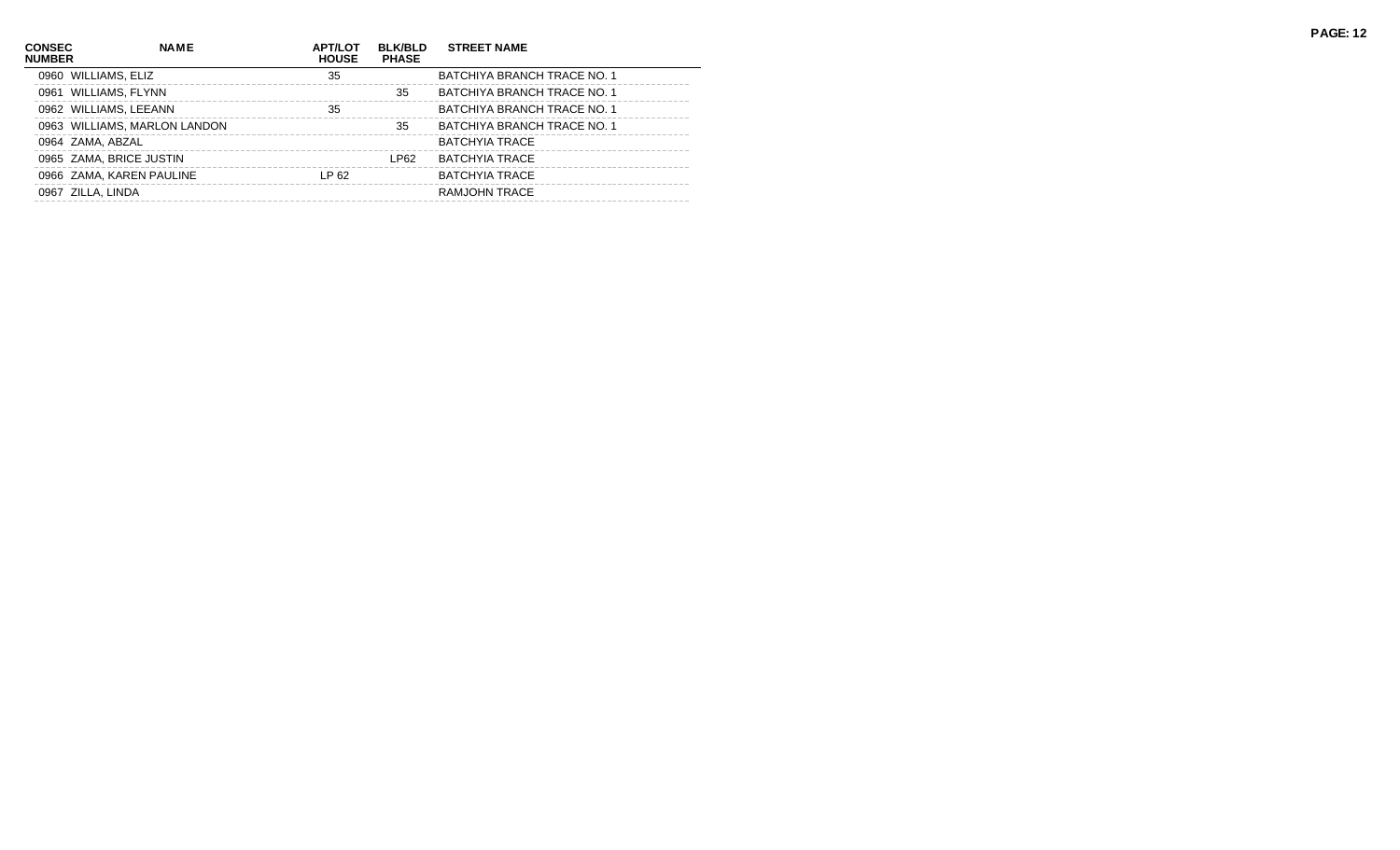| <b>CONSEC</b><br><b>NUMBER</b> | <b>NAME</b>                  | <b>APT/LOT</b><br><b>HOUSE</b> | <b>BLK/BLD</b><br><b>PHASE</b> | <b>STREET NAME</b>          |
|--------------------------------|------------------------------|--------------------------------|--------------------------------|-----------------------------|
|                                | 0960 WILLIAMS, ELIZ          | 35                             |                                | BATCHIYA BRANCH TRACE NO. 1 |
|                                | 0961 WILLIAMS, FLYNN         |                                | 35                             | BATCHIYA BRANCH TRACE NO. 1 |
|                                | 0962 WILLIAMS, LEEANN        | 35                             |                                | BATCHIYA BRANCH TRACE NO. 1 |
|                                | 0963 WILLIAMS, MARLON LANDON |                                | 35                             | BATCHIYA BRANCH TRACE NO. 1 |
|                                | 0964 ZAMA, ABZAL             |                                |                                | <b>BATCHYIA TRACE</b>       |
|                                | 0965 ZAMA, BRICE JUSTIN      |                                | LP62                           | BATCHYIA TRACE              |
|                                | 0966 ZAMA, KAREN PAULINE     | LP 62                          |                                | <b>BATCHYIA TRACE</b>       |
|                                | 0967 ZILLA, LINDA            |                                |                                | RAMJOHN TRACE               |